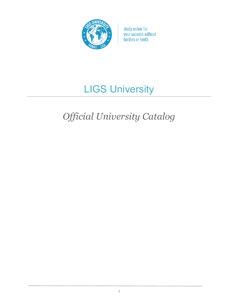

# LIGS University

# *Official University Catalog*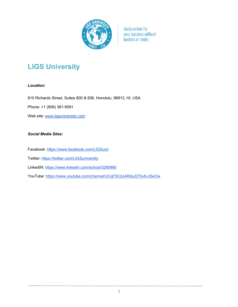

# **LIGS University**

# *Location:*

810 Richards Street, Suites 800 & 836, Honolulu, 96813, HI, USA

Phone: +1 (808) 381-5091

Web site: www.ligsuniversity.com

# *Social Media Sites:*

Facebook: https://www.facebook.com/LIGSuni/

Twitter: https://twitter.com/LIGSuniversity

LinkedIN: https://www.linkedin.com/school/3290990

YouTube: https://www.youtube.com/channel/UCqF5C2oARdu227kv6-zSeOw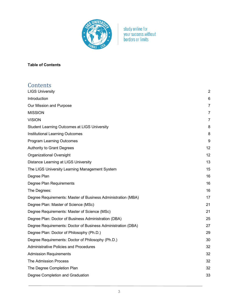

# **Table of Contents**

| Contents                                                     |                |
|--------------------------------------------------------------|----------------|
| <b>LIGS University</b>                                       | $\overline{2}$ |
| Introduction                                                 | 6              |
| Our Mission and Purpose                                      | 7              |
| <b>MISSION</b>                                               | $\overline{7}$ |
| <b>VISION</b>                                                | 7              |
| <b>Student Learning Outcomes at LIGS University</b>          | 8              |
| <b>Institutional Learning Outcomes</b>                       | 8              |
| <b>Program Learning Outcomes</b>                             | 9              |
| <b>Authority to Grant Degrees</b>                            | 12             |
| Organizational Oversight                                     | 12             |
| Distance Learning at LIGS University                         | 13             |
| The LIGS University Learning Management System               | 15             |
| Degree Plan                                                  | 16             |
| Degree Plan Requirements                                     | 16             |
| The Degrees:                                                 | 16             |
| Degree Requirements: Master of Business Administration (MBA) | 17             |
| Degree Plan: Master of Science (MSc)                         | 21             |
| Degree Requirements: Master of Science (MSc)                 | 21             |
| Degree Plan: Doctor of Business Administration (DBA)         | 25             |
| Degree Requirements: Doctor of Business Administration (DBA) | 27             |
| Degree Plan: Doctor of Philosophy (Ph.D.)                    | 29             |
| Degree Requirements: Doctor of Philosophy (Ph.D.)            | 30             |
| <b>Administrative Policies and Procedures</b>                | 32             |
| <b>Admission Requirements</b>                                | 32             |
| <b>The Admission Process</b>                                 | 32             |
| The Degree Completion Plan                                   | 32             |
| Degree Completion and Graduation                             | 33             |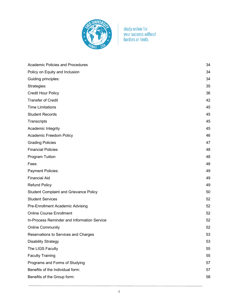

| <b>Academic Policies and Procedures</b>       | 34 |
|-----------------------------------------------|----|
| Policy on Equity and Inclusion                | 34 |
| Guiding principles:                           | 34 |
| Strategies:                                   | 35 |
| <b>Credit Hour Policy</b>                     | 36 |
| <b>Transfer of Credit</b>                     | 42 |
| <b>Time Limitations</b>                       | 45 |
| <b>Student Records</b>                        | 45 |
| Transcripts                                   | 45 |
| Academic Integrity                            | 45 |
| Academic Freedom Policy                       | 46 |
| <b>Grading Policies</b>                       | 47 |
| <b>Financial Policies</b>                     | 48 |
| Program Tuition                               | 48 |
| Fees:                                         | 48 |
| <b>Payment Policies:</b>                      | 49 |
| <b>Financial Aid</b>                          | 49 |
| <b>Refund Policy</b>                          | 49 |
| <b>Student Complaint and Grievance Policy</b> | 50 |
| <b>Student Services</b>                       | 52 |
| Pre-Enrollment Academic Advising              | 52 |
| <b>Online Course Enrollment</b>               | 52 |
| In-Process Reminder and Information Service   | 52 |
| <b>Online Community</b>                       | 52 |
| Reservations to Services and Charges          | 53 |
| <b>Disability Strategy</b>                    | 53 |
| The LIGS Faculty                              | 55 |
| <b>Faculty Training</b>                       | 55 |
| Programs and Forms of Studying                | 57 |
| Benefits of the Individual form:              | 57 |
| Benefits of the Group form:                   | 58 |
|                                               |    |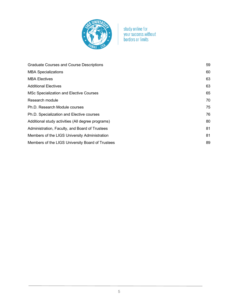

| <b>Graduate Courses and Course Descriptions</b>   | 59 |
|---------------------------------------------------|----|
| <b>MBA Specializations</b>                        | 60 |
| <b>MBA Electives</b>                              | 63 |
| <b>Additional Electives</b>                       | 63 |
| <b>MSc Specialization and Elective Courses</b>    | 65 |
| Research module                                   | 70 |
| Ph.D. Research Module courses                     | 75 |
| Ph.D. Specialization and Elective courses         | 76 |
| Additional study activities (All degree programs) | 80 |
| Administration, Faculty, and Board of Trustees    | 81 |
| Members of the LIGS University Administration     | 81 |
| Members of the LIGS University Board of Trustees  | 89 |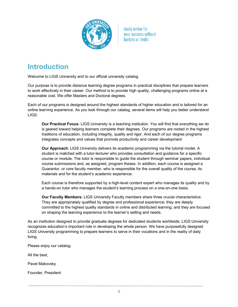

# **Introduction**

Welcome to LIGS University and to our official university catalog.

Our purpose is to provide distance learning degree programs in practical disciplines that prepare learners to work effectively in their career. Our method is to provide high quality, challenging programs online at a reasonable cost. We offer Masters and Doctoral degrees.

Each of our programs is designed around the highest standards of higher education and is tailored for an online learning experience. As you look through our catalog, several items will help you better understand LIGS:

**Our Practical Focus**: LIGS University is a teaching institution. You will find that everything we do is geared toward helping learners complete their degrees. Our programs are rooted in the highest traditions of education, including integrity, quality and rigor. And each of our degree programs integrates concepts and values that promote productivity and career development

**Our Approach**: LIGS University delivers its academic programming via the tutorial model. A student is matched with a tutor-lecturer who provides consultation and guidance for a specific course or module. The tutor is responsible to guide the student through seminar papers, individual course submissions and, as assigned, program theses. In addition, each course is assigned a Guarantor, or core faculty member, who is responsible for the overall quality of the course, its materials and for the student's academic experience.

Each course is therefore supported by a high-level content expert who manages its quality and by a hands-on tutor who manages the student's learning process on a one-on-one basis.

**Our Faculty Members**: LIGS University Faculty members share three crucial characteristics: They are appropriately qualified by degree and professional experience; they are deeply committed to the highest quality standards in online and distributed learning; and they are focused on shaping the learning experience to the learner's setting and needs.

As an institution designed to provide graduate degrees for dedicated students worldwide, LIGS University recognizes education's important role in developing the whole person. We have purposefully designed LIGS University programming to prepare learners to serve in their vocations and in the reality of daily living.

Please enjoy our catalog.

All the best,

Pavel Makovsky

Founder, President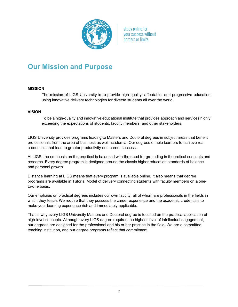

# **Our Mission and Purpose**

#### **MISSION**

The mission of LIGS University is to provide high quality, affordable, and progressive education using innovative delivery technologies for diverse students all over the world.

#### **VISION**

To be a high-quality and innovative educational institute that provides approach and services highly exceeding the expectations of students, faculty members, and other stakeholders.

LIGS University provides programs leading to Masters and Doctoral degrees in subject areas that benefit professionals from the area of business as well academia. Our degrees enable learners to achieve real credentials that lead to greater productivity and career success.

At LIGS, the emphasis on the practical is balanced with the need for grounding in theoretical concepts and research. Every degree program is designed around the classic higher education standards of balance and personal growth.

Distance learning at LIGS means that every program is available online. It also means that degree programs are available in Tutorial Model of delivery connecting students with faculty members on a oneto-one basis.

Our emphasis on practical degrees includes our own faculty, all of whom are professionals in the fields in which they teach. We require that they possess the career experience and the academic credentials to make your learning experience rich and immediately applicable.

That is why every LIGS University Masters and Doctoral degree is focused on the practical application of high-level concepts. Although every LIGS degree requires the highest level of intellectual engagement, our degrees are designed for the professional and his or her practice in the field. We are a committed teaching institution, and our degree programs reflect that commitment.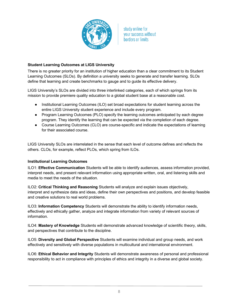

# **Student Learning Outcomes at LIGS University**

There is no greater priority for an institution of higher education than a clear commitment to its Student Learning Outcomes (SLOs). By definition a university seeks to generate and transfer learning. SLOs define that learning and create benchmarks to gauge and to guide its effective delivery.

LIGS University's SLOs are divided into three interlinked categories, each of which springs from its mission to provide premiere quality education to a global student base at a reasonable cost.

- Institutional Learning Outcomes (ILO) set broad expectations for student learning across the entire LIGS University student experience and include every program.
- Program Learning Outcomes (PLO) specify the learning outcomes anticipated by each degree program. They identify the learning that can be expected via the completion of each degree.
- Course Learning Outcomes (CLO) are course-specific and indicate the expectations of learning for their associated course.

LIGS University SLOs are interrelated in the sense that each level of outcome defines and reflects the others. CLOs, for example, reflect PLOs, which spring from ILOs.

#### **Institutional Learning Outcomes**

ILO1: **Effective Communication** Students will be able to identify audiences, assess information provided, interpret needs, and present relevant information using appropriate written, oral, and listening skills and media to meet the needs of the situation.

ILO2: **Critical Thinking and Reasoning** Students will analyze and explain issues objectively, interpret and synthesize data and ideas, define their own perspectives and positions, and develop feasible and creative solutions to real world problems.

ILO3: **Information Competency** Students will demonstrate the ability to identify information needs, effectively and ethically gather, analyze and integrate information from variety of relevant sources of information.

ILO4: **Mastery of Knowledge** Students will demonstrate advanced knowledge of scientific theory, skills, and perspectives that contribute to the discipline.

ILO5: **Diversity and Global Perspective** Students will examine individual and group needs, and work effectively and sensitively with diverse populations in multicultural and international environment.

ILO6: **Ethical Behavior and Integrity** Students will demonstrate awareness of personal and professional responsibility to act in compliance with principles of ethics and integrity in a diverse and global society.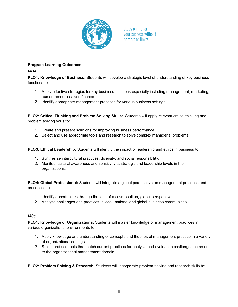

# **Program Learning Outcomes** *MBA*

**PLO1: Knowledge of Business:** Students will develop a strategic level of understanding of key business functions to:

- 1. Apply effective strategies for key business functions especially including management, marketing, human resources, and finance.
- 2. Identify appropriate management practices for various business settings.

**PLO2: Critical Thinking and Problem Solving Skills:** Students will apply relevant critical thinking and problem solving skills to:

- 1. Create and present solutions for improving business performance.
- 2. Select and use appropriate tools and research to solve complex managerial problems.

**PLO3: Ethical Leadership:** Students will identify the impact of leadership and ethics in business to:

- 1. Synthesize intercultural practices, diversity, and social responsibility.
- 2. Manifest cultural awareness and sensitivity at strategic and leadership levels in their organizations.

**PLO4: Global Professional:** Students will integrate a global perspective on management practices and processes to:

- 1. Identify opportunities through the lens of a cosmopolitan, global perspective.
- 2. Analyze challenges and practices in local, national and global business communities.

# *MSc*

**PLO1: Knowledge of Organizations:** Students will master knowledge of management practices in various organizational environments to:

- 1. Apply knowledge and understanding of concepts and theories of management practice in a variety of organizational settings.
- 2. Select and use tools that match current practices for analysis and evaluation challenges common to the organizational management domain.

**PLO2: Problem Solving & Research:** Students will incorporate problem-solving and research skills to: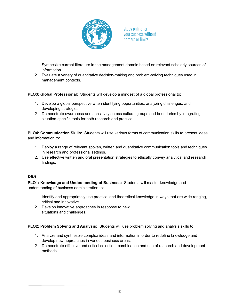

- 1. Synthesize current literature in the management domain based on relevant scholarly sources of information.
- 2. Evaluate a variety of quantitative decision-making and problem-solving techniques used in management contexts.

**PLO3: Global Professional:** Students will develop a mindset of a global professional to:

- 1. Develop a global perspective when identifying opportunities, analyzing challenges, and developing strategies.
- 2. Demonstrate awareness and sensitivity across cultural groups and boundaries by integrating situation-specific tools for both research and practice.

**PLO4: Communication Skills:** Students will use various forms of communication skills to present ideas and information to:

- 1. Deploy a range of relevant spoken, written and quantitative communication tools and techniques in research and professional settings.
- 2. Use effective written and oral presentation strategies to ethically convey analytical and research findings.

# *DBA*

**PLO1: Knowledge and Understanding of Business:** Students will master knowledge and understanding of business administration to:

- 1. Identify and appropriately use practical and theoretical knowledge in ways that are wide ranging, critical and innovative.
- 2. Develop innovative approaches in response to new situations and challenges.

**PLO2: Problem Solving and Analysis:** Students will use problem solving and analysis skills to:

- 1. Analyze and synthesize complex ideas and information in order to redefine knowledge and develop new approaches in various business areas.
- 2. Demonstrate effective and critical selection, combination and use of research and development methods.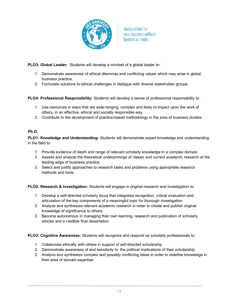

**PLO3: Global Leader:** Students will develop a mindset of a global leader to:

- 1. Demonstrate awareness of ethical dilemmas and conflicting values which may arise in global business practice.
- 2. Formulate solutions to ethical challenges in dialogue with diverse stakeholder groups.

**PLO4: Professional Responsibility:** Students will develop a sense of professional responsibility to:

- 1. Use resources in ways that are wide-ranging, complex and likely to impact upon the work of others, in an effective, ethical and socially responsible way.
- 2. Contribute to the development of practice-based methodology in the area of business studies.

# *Ph.D.*

**PLO1: Knowledge and Understanding:** Students will demonstrate expert knowledge and understanding in the field to:

- 1. Provide evidence of depth and range of relevant scholarly knowledge in a complex domain.
- 2. Assess and analyze the theoretical underpinnings of classic and current academic research at the leading edge of business practice.
- 3. Select and justify approaches to research tasks and problems using appropriate research methods and tools.

**PLO2: Research & Investigation:** Students will engage in original research and investigation to:

- 1. Develop a self-directed scholarly focus that integrates recognition, critical evaluation and articulation of the key components of a meaningful topic for thorough investigation.
- 2. Analyze and synthesize relevant academic research in order to create and publish original knowledge of significance to others.
- 3. Become autonomous in managing their own learning, research and publication of scholarly articles and a credible final dissertation.

**PLO3: Cognitive Awareness:** Students will recognize and respond as scholarly professionals to:

- 1. Collaborate ethically with others in support of self-directed scholarship
- 2. Demonstrate awareness of and sensitivity to the political implications of their scholarship.
- 3. Analyze and synthesize complex and possibly conflicting ideas in order to redefine knowledge in their area of domain expertise.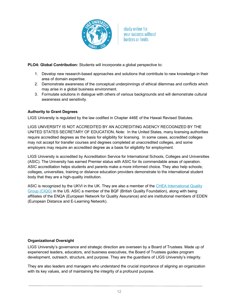

**PLO4: Global Contribution:** Students will incorporate a global perspective to:

- 1. Develop new research-based approaches and solutions that contribute to new knowledge in their area of domain expertise.
- 2. Demonstrate awareness of the conceptual underpinnings of ethical dilemmas and conflicts which may arise in a global business environment.
- 3. Formulate solutions in dialogue with others of various backgrounds and will demonstrate cultural awareness and sensitivity.

# **Authority to Grant Degrees**

LIGS University is regulated by the law codified in Chapter 446E of the Hawaii Revised Statutes.

LIGS UNIVERSITY IS NOT ACCREDITED BY AN ACCREDITING AGENCY RECOGNIZED BY THE UNITED STATES SECRETARY OF EDUCATION**.** Note: In the United States, many licensing authorities require accredited degrees as the basis for eligibility for licensing. In some cases, accredited colleges may not accept for transfer courses and degrees completed at unaccredited colleges, and some employers may require an accredited degree as a basis for eligibility for employment.

LIGS University is accredited by Accreditation Service for International Schools, Colleges and Universities (ASIC). The University has earned Premier status with ASIC for its commendable areas of operation. ASIC accreditation helps students and parents make a more informed choice. They also help schools; colleges, universities, training or distance education providers demonstrate to the international student body that they are a high-quality institution.

ASIC is recognized by the UKVI in the UK. They are also a member of the CHEA International Quality Group (CIQG) in the US. ASIC a member of the BQF (British Quality Foundation), along with being affiliates of the ENQA (European Network for Quality Assurance) and are institutional members of EDEN (European Distance and E-Learning Network).

# **Organizational Oversight**

LIGS University's governance and strategic direction are overseen by a Board of Trustees. Made up of experienced leaders, educators, and business executives, the Board of Trustees guides program development, outreach, structure, and purpose. They are the guardians of LIGS University's integrity.

They are also leaders and managers who understand the crucial importance of aligning an organization with its key values, and of maintaining the integrity of a profound purpose.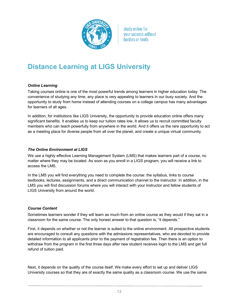

# **Distance Learning at LIGS University**

# *Online Learning*

Taking courses online is one of the most powerful trends among learners in higher education today. The convenience of studying any time, any place is very appealing to learners in our busy society. And the opportunity to study from home instead of attending courses on a college campus has many advantages for learners of all ages.

In addition, for institutions like LIGS University, the opportunity to provide education online offers many significant benefits. It enables us to keep our tuition rates low. It allows us to recruit committed faculty members who can teach powerfully from anywhere in the world. And it offers us the rare opportunity to act as a meeting place for diverse people from all over the planet, and create a unique virtual community.

# *The Online Environment at LIGS*

We use a highly effective Learning Management System (LMS) that makes learners part of a course, no matter where they may be located. As soon as you enroll in a LIGS program, you will receive a link to access the LMS.

In the LMS you will find everything you need to complete the course: the syllabus, links to course textbooks, lectures, assignments, and a direct communication channel to the instructor. In addition, in the LMS you will find discussion forums where you will interact with your instructor and fellow students of LIGS University from around the world.

# *Course Content*

Sometimes learners wonder if they will learn as much from an online course as they would if they sat in a classroom for the same course. The only honest answer to that question is, "it depends."

First, it depends on whether or not the learner is suited to the online environment. All prospective students are encouraged to consult any questions with the admissions representatives, who are devoted to provide detailed information to all applicants prior to the payment of registration fee. Then there is an option to withdraw from the program in the first three days after new student receives login to the LMS and get full refund of tuition paid.

Next, it depends on the quality of the course itself. We make every effort to set up and deliver LIGS University courses so that they are of exactly the same quality as a classroom course. We use the same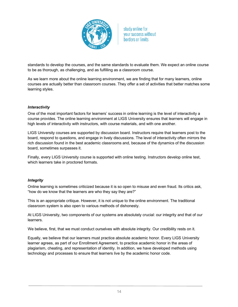

standards to develop the courses, and the same standards to evaluate them. We expect an online course to be as thorough, as challenging, and as fulfilling as a classroom course.

As we learn more about the online learning environment, we are finding that for many learners, online courses are actually better than classroom courses. They offer a set of activities that better matches some learning styles.

#### *Interactivity*

One of the most important factors for learners' success in online learning is the level of interactivity a course provides. The online learning environment at LIGS University ensures that learners will engage in high levels of interactivity with instructors, with course materials, and with one another.

LIGS University courses are supported by discussion board. Instructors require that learners post to the board, respond to questions, and engage in lively discussions. The level of interactivity often mirrors the rich discussion found in the best academic classrooms and, because of the dynamics of the discussion board, sometimes surpasses it.

Finally, every LIGS University course is supported with online testing. Instructors develop online test, which learners take in proctored formats.

# *Integrity*

Online learning is sometimes criticized because it is so open to misuse and even fraud. Its critics ask, "how do we know that the learners are who they say they are?"

This is an appropriate critique. However, it is not unique to the online environment. The traditional classroom system is also open to various methods of dishonesty.

At LIGS University, two components of our systems are absolutely crucial: our integrity and that of our learners.

We believe, first, that we must conduct ourselves with absolute integrity. Our credibility rests on it.

Equally, we believe that our learners must practice absolute academic honor. Every LIGS University learner agrees, as part of our Enrollment Agreement, to practice academic honor in the areas of plagiarism, cheating, and representation of identity. In addition, we have developed methods using technology and processes to ensure that learners live by the academic honor code.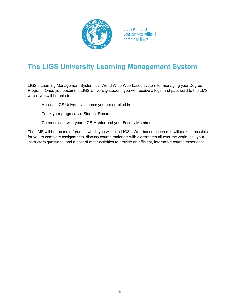

# **The LIGS University Learning Management System**

LIGS's Learning Management System is a World Wide Web-based system for managing your Degree Program. Once you become a LIGS University student, you will receive a login and password to the LMS, where you will be able to:

Access LIGS University courses you are enrolled in

Track your progress via Student Records

Communicate with your LIGS Mentor and your Faculty Members

The LMS will be the main forum in which you will take LIGS's Web-based courses. It will make it possible for you to complete assignments, discuss course materials with classmates all over the world, ask your instructors questions, and a host of other activities to provide an efficient, interactive course experience.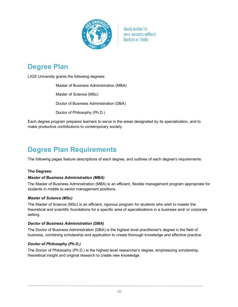

# **Degree Plan**

LIGS University grants the following degrees:

Master of Business Administration (MBA)

Master of Science (MSc)

Doctor of Business Administration (DBA)

Doctor of Philosophy (Ph.D.)

Each degree program prepares learners to serve in the areas designated by its specialization, and to make productive contributions to contemporary society.

# **Degree Plan Requirements**

The following pages feature descriptions of each degree, and outlines of each degree's requirements.

# **The Degrees:**

# *Master of Business Administration (MBA)*

The Master of Business Administration (MBA) is an efficient, flexible management program appropriate for students in middle to senior management positions.

#### *Master of Science (MSc)*

The Master of Science (MSc) is an efficient, rigorous program for students who wish to master the theoretical and scientific foundations for a specific area of specializations in a business and/ or corporate setting.

# *Doctor of Business Administration (DBA)*

The Doctor of Business Administration (DBA) is the highest level practitioner's degree in the field of business, combining scholarship and application to create thorough knowledge and effective practice.

# *Doctor of Philosophy (Ph.D.)*

The Doctor of Philosophy (Ph.D.) is the highest level researcher's degree, emphasizing scholarship, theoretical insight and original research to create new knowledge.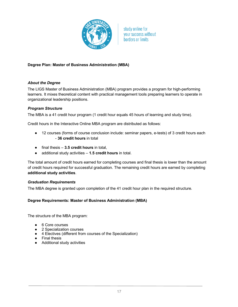

# **Degree Plan: Master of Business Administration (MBA)**

#### *About the Degree*

The LIGS Master of Business Administration (MBA) program provides a program for high-performing learners. It mixes theoretical content with practical management tools preparing learners to operate in organizational leadership positions.

#### *Program Structure*

The MBA is a 41 credit hour program (1 credit hour equals 45 hours of learning and study time).

Credit hours in the Interactive Online MBA program are distributed as follows:

- 12 courses (forms of course conclusion include: seminar papers, e-tests) of 3 credit hours each - **36 credit hours** in total
- final thesis **3.5 credit hours** in total,
- additional study activities **1.5 credit hours** in total.

The total amount of credit hours earned for completing courses and final thesis is lower than the amount of credit hours required for successful graduation. The remaining credit hours are earned by completing **additional study activities**.

#### *Graduation Requirements*

The MBA degree is granted upon completion of the 41 credit hour plan in the required structure.

#### **Degree Requirements: Master of Business Administration (MBA)**

The structure of the MBA program:

- 6 Core courses
- 2 Specialization courses
- 4 Electives (different from courses of the Specialization)
- Final thesis
- Additional study activities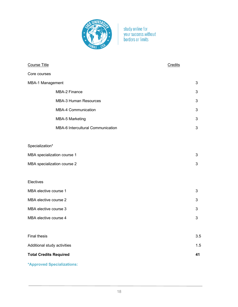

| Course Title                  |                                   | Credits |
|-------------------------------|-----------------------------------|---------|
| Core courses                  |                                   |         |
| MBA-1 Management              |                                   | 3       |
|                               | MBA-2 Finance                     | 3       |
|                               | <b>MBA-3 Human Resources</b>      | 3       |
|                               | <b>MBA-4 Communication</b>        | 3       |
|                               | <b>MBA-5 Marketing</b>            | 3       |
|                               | MBA-6 Intercultural Communication | 3       |
|                               |                                   |         |
| Specialization*               |                                   |         |
| MBA specialization course 1   |                                   | 3       |
|                               | MBA specialization course 2       | 3       |
|                               |                                   |         |
| Electives                     |                                   |         |
| MBA elective course 1         |                                   | 3       |
| MBA elective course 2         |                                   | 3       |
| MBA elective course 3         |                                   | 3       |
| MBA elective course 4         |                                   | 3       |
|                               |                                   |         |
| <b>Final thesis</b>           |                                   | 3.5     |
| Additional study activities   |                                   | 1.5     |
| <b>Total Credits Required</b> |                                   | 41      |
|                               |                                   |         |

**\*Approved Specializations:**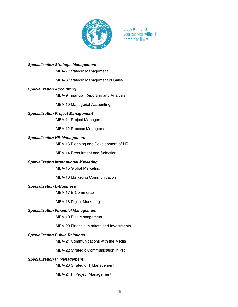

#### *Specialization Strategic Management*

MBA-7 Strategic Management

MBA-8 Strategic Management of Sales

#### *Specialization Accounting*

MBA-9 Financial Reporting and Analysis

MBA-10 Managerial Accounting

#### *Specialization Project Management*

MBA-11 Project Management

MBA-12 Process Management

#### *Specialization HR Management*

MBA-13 Planning and Development of HR

MBA-14 Recruitment and Selection

#### *Specialization International Marketing*

MBA-15 Global Marketing

MBA-16 Marketing Communication

#### *Specialization E-Business*

MBA-17 E-Commerce

MBA-18 Digital Marketing

#### *Specialization Financial Management*

MBA-19 Risk Management

MBA-20 Financial Markets and Investments

#### *Specialization Public Relations*

MBA-21 Communications with the Media

MBA-22 Strategic Communication in PR

#### *Specialization IT Management*

MBA-23 Strategic IT Management

MBA-24 IT Project Management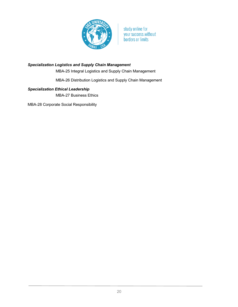

# *Specialization Logistics and Supply Chain Management*

MBA-25 Integral Logistics and Supply Chain Management

MBA-26 Distribution Logistics and Supply Chain Management

# *Specialization Ethical Leadership*

MBA-27 Business Ethics

MBA-28 Corporate Social Responsibility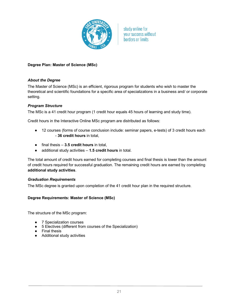

# **Degree Plan: Master of Science (MSc)**

#### *About the Degree*

The Master of Science (MSc) is an efficient, rigorous program for students who wish to master the theoretical and scientific foundations for a specific area of specializations in a business and/ or corporate setting.

#### *Program Structure*

The MSc is a 41 credit hour program (1 credit hour equals 45 hours of learning and study time).

Credit hours in the Interactive Online MSc program are distributed as follows:

- 12 courses (forms of course conclusion include: seminar papers, e-tests) of 3 credit hours each - **36 credit hours** in total,
- final thesis **3.5 credit hours** in total,
- additional study activities **1.5 credit hours** in total.

The total amount of credit hours earned for completing courses and final thesis is lower than the amount of credit hours required for successful graduation. The remaining credit hours are earned by completing **additional study activities**.

#### *Graduation Requirements*

The MSc degree is granted upon completion of the 41 credit hour plan in the required structure.

#### **Degree Requirements: Master of Science (MSc)**

The structure of the MSc program:

- **7 Specialization courses**
- 5 Electives (different from courses of the Specialization)
- Final thesis
- Additional study activities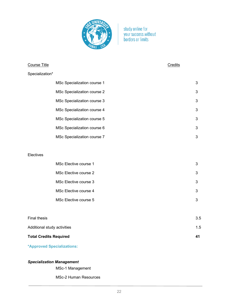

| <b>Course Title</b>           |                                    | Credits |     |
|-------------------------------|------------------------------------|---------|-----|
| Specialization*               |                                    |         |     |
|                               | <b>MSc Specialization course 1</b> |         | 3   |
|                               | <b>MSc Specialization course 2</b> |         | 3   |
|                               | MSc Specialization course 3        |         | 3   |
|                               | <b>MSc Specialization course 4</b> |         | 3   |
|                               | MSc Specialization course 5        |         | 3   |
|                               | MSc Specialization course 6        |         | 3   |
|                               | MSc Specialization course 7        |         | 3   |
|                               |                                    |         |     |
| Electives                     |                                    |         |     |
|                               | MSc Elective course 1              |         | 3   |
|                               | MSc Elective course 2              |         | 3   |
|                               | MSc Elective course 3              |         | 3   |
|                               | MSc Elective course 4              |         | 3   |
|                               | MSc Elective course 5              |         | 3   |
|                               |                                    |         |     |
| <b>Final thesis</b>           |                                    |         | 3.5 |
| Additional study activities   |                                    |         | 1.5 |
| <b>Total Credits Required</b> |                                    |         | 41  |

**\*Approved Specializations:**

# *Specialization Management*

MSc-1 Management

MSc-2 Human Resources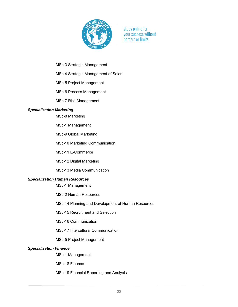

MSc-3 Strategic Management

MSc-4 Strategic Management of Sales

MSc-5 Project Management

MSc-6 Process Management

MSc-7 Risk Management

#### *Specialization Marketing*

MSc-8 Marketing

MSc-1 Management

MSc-9 Global Marketing

MSc-10 Marketing Communication

MSc-11 E-Commerce

MSc-12 Digital Marketing

MSc-13 Media Communication

#### *Specialization Human Resources*

MSc-1 Management

MSc-2 Human Resources

MSc-14 Planning and Development of Human Resources

MSc-15 Recruitment and Selection

MSc-16 Communication

MSc-17 Intercultural Communication

MSc-5 Project Management

#### *Specialization Finance*

MSc-1 Management

MSc-18 Finance

MSc-19 Financial Reporting and Analysis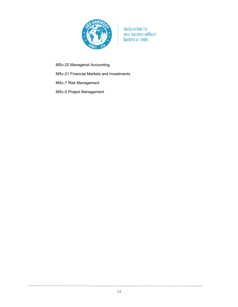

MSc-20 Managerial Accounting

MSc-21 Financial Markets and Investments

MSc-7 Risk Management

MSc-5 Project Management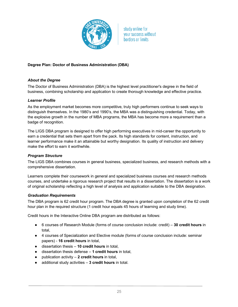

# **Degree Plan: Doctor of Business Administration (DBA)**

# *About the Degree*

The Doctor of Business Administration (DBA) is the highest level practitioner's degree in the field of business, combining scholarship and application to create thorough knowledge and effective practice.

#### *Learner Profile*

As the employment market becomes more competitive, truly high performers continue to seek ways to distinguish themselves. In the 1980's and 1990's, the MBA was a distinguishing credential. Today, with the explosive growth in the number of MBA programs, the MBA has become more a requirement than a badge of recognition.

The LIGS DBA program is designed to offer high performing executives in mid-career the opportunity to earn a credential that sets them apart from the pack. Its high standards for content, instruction, and learner performance make it an attainable but worthy designation. Its quality of instruction and delivery make the effort to earn it worthwhile.

#### *Program Structure*

The LIGS DBA combines courses in general business, specialized business, and research methods with a comprehensive dissertation.

Learners complete their coursework in general and specialized business courses and research methods courses, and undertake a rigorous research project that results in a dissertation. The dissertation is a work of original scholarship reflecting a high level of analysis and application suitable to the DBA designation.

#### *Graduation Requirements*

The DBA program is 62 credit hour program. The DBA degree is granted upon completion of the 62 credit hour plan in the required structure (1 credit hour equals 45 hours of learning and study time).

Credit hours in the Interactive Online DBA program are distributed as follows:

- 6 courses of Research Module (forms of course conclusion include: credit) **30 credit hours** in total,
- 4 courses of Specialization and Elective module (forms of course conclusion include: seminar papers) - **16 credit hours** in total,
- dissertation thesis **10 credit hours** in total,
- dissertation thesis defense **1 credit hours** in total,
- publication activity **2 credit hours** in total,
- additional study activities **3 credit hours** in total.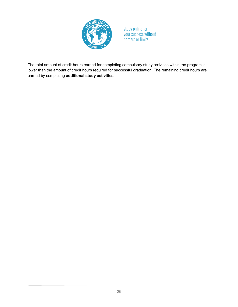

The total amount of credit hours earned for completing compulsory study activities within the program is lower than the amount of credit hours required for successful graduation. The remaining credit hours are earned by completing **additional study activities**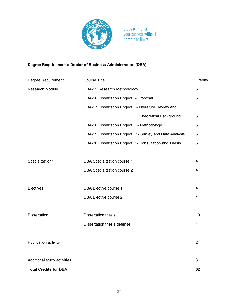

# **Degree Requirements: Doctor of Business Administration (DBA)**

| Degree Requirement           | <b>Course Title</b>                                       | Credits        |
|------------------------------|-----------------------------------------------------------|----------------|
| <b>Research Module</b>       | DBA-25 Research Methodology                               | 5              |
|                              | DBA-26 Dissertation Project I - Proposal                  | 5              |
|                              | DBA-27 Dissertation Project II - Literature Review and    |                |
|                              | <b>Theoretical Background</b>                             | 5              |
|                              | DBA-28 Dissertation Project III - Methodology             | $\overline{5}$ |
|                              | DBA-29 Dissertation Project IV - Survey and Data Analysis | 5              |
|                              | DBA-30 Dissertation Project V - Consultation and Thesis   | 5              |
|                              |                                                           |                |
| Specialization*              | DBA Specialization course 1                               | 4              |
|                              | <b>DBA Specialization course 2</b>                        | 4              |
|                              |                                                           |                |
| Electives                    | DBA Elective course 1                                     | 4              |
|                              | <b>DBA Elective course 2</b>                              | 4              |
|                              |                                                           |                |
| <b>Dissertation</b>          | <b>Dissertation thesis</b>                                | 10             |
|                              | Dissertation thesis defense                               | 1              |
|                              |                                                           |                |
| Publication activity         |                                                           | $\overline{2}$ |
|                              |                                                           |                |
| Additional study activities  |                                                           | $\mathfrak{B}$ |
| <b>Total Credits for DBA</b> |                                                           | 62             |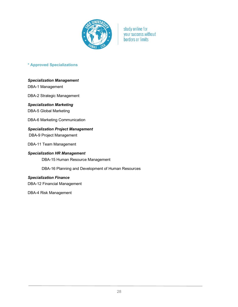

# **\* Approved Specializations**

# *Specialization Management*

DBA-1 Management

DBA-2 Strategic Management

# *Specialization Marketing*

DBA-5 Global Marketing

DBA-6 Marketing Communication

# *Specialization Project Management*

DBA-9 Project Management

DBA-11 Team Management

#### *Specialization HR Management*

DBA-15 Human Resource Management

DBA-16 Planning and Development of Human Resources

# *Specialization Finance*

DBA-12 Financial Management

DBA-4 Risk Management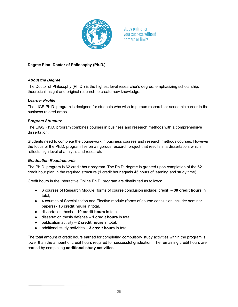

# **Degree Plan: Doctor of Philosophy (Ph.D.)**

# *About the Degree*

The Doctor of Philosophy (Ph.D.) is the highest level researcher's degree, emphasizing scholarship, theoretical insight and original research to create new knowledge.

# *Learner Profile*

The LIGS Ph.D. program is designed for students who wish to pursue research or academic career in the business related areas.

# *Program Structure*

The LIGS Ph.D. program combines courses in business and research methods with a comprehensive dissertation.

Students need to complete the coursework in business courses and research methods courses. However, the focus of the Ph.D. program lies on a rigorous research project that results in a dissertation, which reflects high level of analysis and research.

# *Graduation Requirements*

The Ph.D. program is 62 credit hour program. The Ph.D. degree is granted upon completion of the 62 credit hour plan in the required structure (1 credit hour equals 45 hours of learning and study time).

Credit hours in the Interactive Online Ph.D. program are distributed as follows:

- 6 courses of Research Module (forms of course conclusion include: credit) **30 credit hours** in total,
- 4 courses of Specialization and Elective module (forms of course conclusion include: seminar papers) - **16 credit hours** in total,
- dissertation thesis **10 credit hours** in total,
- dissertation thesis defense **1 credit hours** in total,
- publication activity **2 credit hours** in total,
- additional study activities **3 credit hours** in total.

The total amount of credit hours earned for completing compulsory study activities within the program is lower than the amount of credit hours required for successful graduation. The remaining credit hours are earned by completing **additional study activities**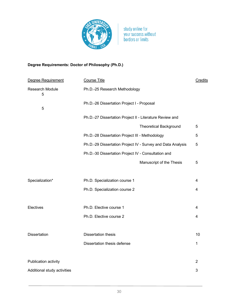

# **Degree Requirements: Doctor of Philosophy (Ph.D.)**

| Degree Requirement          | <b>Course Title</b>                                         | Credits        |
|-----------------------------|-------------------------------------------------------------|----------------|
| Research Module<br>5        | Ph.D.-25 Research Methodology                               |                |
| 5                           | Ph.D.-26 Dissertation Project I - Proposal                  |                |
|                             | Ph.D.-27 Dissertation Project II - Literature Review and    |                |
|                             | <b>Theoretical Background</b>                               | 5              |
|                             | Ph.D.-28 Dissertation Project III - Methodology             | 5              |
|                             | Ph.D.-29 Dissertation Project IV - Survey and Data Analysis | 5              |
|                             | Ph.D.-30 Dissertation Project IV - Consultation and         |                |
|                             | Manuscript of the Thesis                                    | 5              |
|                             |                                                             |                |
| Specialization*             | Ph.D. Specialization course 1                               | 4              |
|                             | Ph.D. Specialization course 2                               | 4              |
|                             |                                                             |                |
| Electives                   | Ph.D. Elective course 1                                     | 4              |
|                             | Ph.D. Elective course 2                                     | 4              |
|                             |                                                             |                |
| <b>Dissertation</b>         | <b>Dissertation thesis</b>                                  | 10             |
|                             | Dissertation thesis defense                                 | 1              |
|                             |                                                             |                |
| Publication activity        |                                                             | $\overline{2}$ |
| Additional study activities |                                                             | 3              |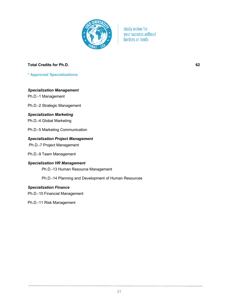

# **Total Credits for Ph.D. 62**

**\* Approved Specializations**

#### *Specialization Management*

Ph.D.-1 Management

Ph.D.-2 Strategic Management

#### *Specialization Marketing*

Ph.D.-4 Global Marketing

Ph.D.-5 Marketing Communication

# *Specialization Project Management*

Ph.D.-7 Project Management

Ph.D.-9 Team Management

# *Specialization HR Management*

Ph.D.-13 Human Resource Management

Ph.D.-14 Planning and Development of Human Resources

# *Specialization Finance*

Ph.D.-10 Financial Management

Ph.D.-11 Risk Management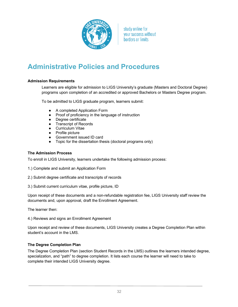

# **Administrative Policies and Procedures**

# **Admission Requirements**

Learners are eligible for admission to LIGS University's graduate (Masters and Doctoral Degree) programs upon completion of an accredited or approved Bachelors or Masters Degree program.

To be admitted to LIGS graduate program, learners submit:

- A completed Application Form
- Proof of proficiency in the language of instruction
- Degree certificate
- Transcript of Records
- Curriculum Vitae
- Profile picture
- Government issued ID card
- Topic for the dissertation thesis (doctoral programs only)

#### **The Admission Process**

To enroll in LIGS University, learners undertake the following admission process:

- 1.) Complete and submit an Application Form
- 2.) Submit degree certificate and transcripts of records
- 3.) Submit current curriculum vitae, profile picture, ID

Upon receipt of these documents and a non-refundable registration fee, LIGS University staff review the documents and, upon approval, draft the Enrollment Agreement.

The learner then:

4.) Reviews and signs an Enrollment Agreement

Upon receipt and review of these documents, LIGS University creates a Degree Completion Plan within student's account in the LMS.

# **The Degree Completion Plan**

The Degree Completion Plan (section Student Records in the LMS) outlines the learners intended degree, specialization, and "path" to degree completion. It lists each course the learner will need to take to complete their intended LIGS University degree.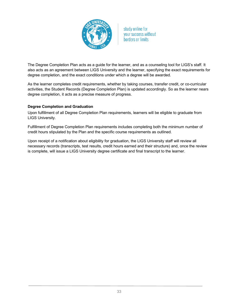

The Degree Completion Plan acts as a guide for the learner, and as a counseling tool for LIGS's staff. It also acts as an agreement between LIGS University and the learner, specifying the exact requirements for degree completion, and the exact conditions under which a degree will be awarded.

As the learner completes credit requirements, whether by taking courses, transfer credit, or co-curricular activities, the Student Records (Degree Completion Plan) is updated accordingly. So as the learner nears degree completion, it acts as a precise measure of progress.

# **Degree Completion and Graduation**

Upon fulfillment of all Degree Completion Plan requirements, learners will be eligible to graduate from LIGS University.

Fulfillment of Degree Completion Plan requirements includes completing both the minimum number of credit hours stipulated by the Plan and the specific course requirements as outlined.

Upon receipt of a notification about eligibility for graduation, the LIGS University staff will review all necessary records (transcripts, test results, credit hours earned and their structure) and, once the review is complete, will issue a LIGS University degree certificate and final transcript to the learner.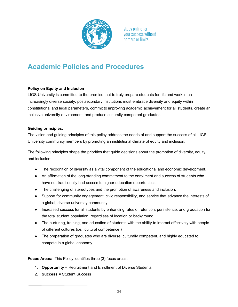

# **Academic Policies and Procedures**

# **Policy on Equity and Inclusion**

LIGS University is committed to the premise that to truly prepare students for life and work in an increasingly diverse society, postsecondary institutions must embrace diversity and equity within constitutional and legal parameters, commit to improving academic achievement for all students, create an inclusive university environment, and produce culturally competent graduates.

# **Guiding principles:**

The vision and guiding principles of this policy address the needs of and support the success of all LIGS University community members by promoting an institutional climate of equity and inclusion.

The following principles shape the priorities that guide decisions about the promotion of diversity, equity, and inclusion:

- The recognition of diversity as a vital component of the educational and economic development.
- An affirmation of the long-standing commitment to the enrollment and success of students who have not traditionally had access to higher education opportunities.
- The challenging of stereotypes and the promotion of awareness and inclusion.
- Support for community engagement, civic responsibility, and service that advance the interests of a global, diverse university community.
- Increased success for all students by enhancing rates of retention, persistence, and graduation for the total student population, regardless of location or background.
- The nurturing, training, and education of students with the ability to interact effectively with people of different cultures (i.e., cultural competence.)
- The preparation of graduates who are diverse, culturally competent, and highly educated to compete in a global economy.

**Focus Areas:** This Policy identifies three (3) focus areas:

- 1. **Opportunity =** Recruitment and Enrollment of Diverse Students
- 2. **Success** = Student Success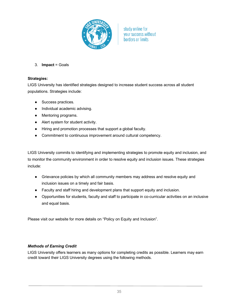

3. **Impact** = Goals

# **Strategies:**

LIGS University has identified strategies designed to increase student success across all student populations. Strategies include:

- Success practices.
- Individual academic advising.
- Mentoring programs.
- Alert system for student activity.
- Hiring and promotion processes that support a global faculty.
- Commitment to continuous improvement around cultural competency.

LIGS University commits to identifying and implementing strategies to promote equity and inclusion, and to monitor the community environment in order to resolve equity and inclusion issues. These strategies include:

- Grievance policies by which all community members may address and resolve equity and inclusion issues on a timely and fair basis.
- Faculty and staff hiring and development plans that support equity and inclusion.
- Opportunities for students, faculty and staff to participate in co-curricular activities on an inclusive and equal basis.

Please visit our website for more details on "Policy on Equity and Inclusion".

# *Methods of Earning Credit*

LIGS University offers learners as many options for completing credits as possible. Learners may earn credit toward their LIGS University degrees using the following methods.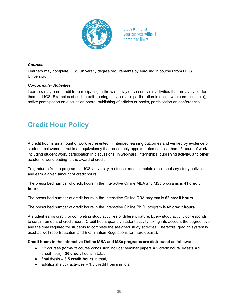

# *Courses*

Learners may complete LIGS University degree requirements by enrolling in courses from LIGS University.

# *Co-curricular Activities*

Learners may earn credit for participating in the vast array of co-curricular activities that are available for them at LIGS. Examples of such credit-bearing activities are: participation in online webinars (colloquia), active participation on discussion board, publishing of articles or books, participation on conferences.

# **Credit Hour Policy**

A credit hour is an amount of work represented in intended learning outcomes and verified by evidence of student achievement that is an equivalency that reasonably approximates not less than 45 hours of work – including student work, participation in discussions, in webinars, internships, publishing activity, and other academic work leading to the award of credit.

To graduate from a program at LIGS University, a student must complete all compulsory study activities and earn a given amount of credit hours.

The prescribed number of credit hours in the Interactive Online MBA and MSc programs is **41 credit hours**.

The prescribed number of credit hours in the Interactive Online DBA program is **62 credit hours**.

The prescribed number of credit hours in the Interactive Online Ph.D. program is **62 credit hours**.

A student earns credit for completing study activities of different nature. Every study activity corresponds to certain amount of credit hours. Credit hours quantify student activity taking into account the degree level and the time required for students to complete the assigned study activities. Therefore, grading system is used as well (see Education and Examination Regulations for more details).

# **Credit hours in the Interactive Online MBA and MSc programs are distributed as follows:**

- $\bullet$  12 courses (forms of course conclusion include: seminar papers = 2 credit hours, e-tests = 1 credit hour) - **36 credit** hours in total,
- final thesis **3.5 credit hours** in total,
- additional study activities **1.5 credit hours** in total.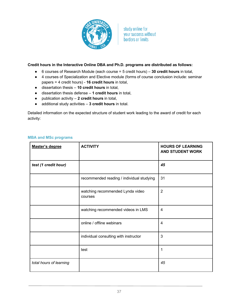

## **Credit hours in the Interactive Online DBA and Ph.D. programs are distributed as follows:**

- 6 courses of Research Module (each course = 5 credit hours) **30 credit hours** in total,
- 4 courses of Specialization and Elective module (forms of course conclusion include: seminar papers = 4 credit hours) - **16 credit hours** in total,
- dissertation thesis **10 credit hours** in total,
- dissertation thesis defense **1 credit hours** in total,
- publication activity **2 credit hours** in total,
- additional study activities **3 credit hours** in total.

Detailed information on the expected structure of student work leading to the award of credit for each activity:

| Master's degree         | <b>ACTIVITY</b>                             | <b>HOURS OF LEARNING</b><br><b>AND STUDENT WORK</b> |
|-------------------------|---------------------------------------------|-----------------------------------------------------|
| test (1 credit hour)    |                                             | 45                                                  |
|                         | recommended reading / individual studying   | 31                                                  |
|                         | watching recommended Lynda video<br>courses | $\overline{2}$                                      |
|                         | watching recommended videos in LMS          | 4                                                   |
|                         | online / offline webinars                   | 4                                                   |
|                         | individual consulting with instructor       | 3                                                   |
|                         | test                                        | 1                                                   |
| total hours of learning |                                             | 45                                                  |

## **MBA and MSc programs**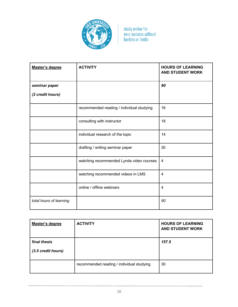

| Master's degree         | <b>ACTIVITY</b>                           | <b>HOURS OF LEARNING</b><br><b>AND STUDENT WORK</b> |
|-------------------------|-------------------------------------------|-----------------------------------------------------|
| seminar paper           |                                           | 90                                                  |
| (2 credit hours)        |                                           |                                                     |
|                         | recommended reading / individual studying | 16                                                  |
|                         | consulting with instructor                | 18                                                  |
|                         | individual research of the topic          | 14                                                  |
|                         | drafting / writing seminar paper          | 30                                                  |
|                         | watching recommended Lynda video courses  | $\overline{4}$                                      |
|                         | watching recommended videos in LMS        | 4                                                   |
|                         | online / offline webinars                 | 4                                                   |
| total hours of learning |                                           | 90                                                  |

| Master's degree                    | <b>ACTIVITY</b>                           | <b>HOURS OF LEARNING</b><br><b>AND STUDENT WORK</b> |
|------------------------------------|-------------------------------------------|-----------------------------------------------------|
| final thesis<br>(3.5 credit hours) |                                           | 157.5                                               |
|                                    | recommended reading / individual studying | 30                                                  |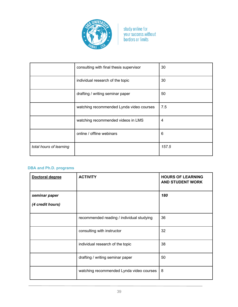

|                         | consulting with final thesis supervisor  | 30    |
|-------------------------|------------------------------------------|-------|
|                         | individual research of the topic         | 30    |
|                         | drafting / writing seminar paper         | 50    |
|                         | watching recommended Lynda video courses | 7.5   |
|                         | watching recommended videos in LMS       | 4     |
|                         | online / offline webinars                | 6     |
| total hours of learning |                                          | 157.5 |

## **DBA and Ph.D. programs**

| Doctoral degree  | <b>ACTIVITY</b>                           | <b>HOURS OF LEARNING</b><br><b>AND STUDENT WORK</b> |
|------------------|-------------------------------------------|-----------------------------------------------------|
| seminar paper    |                                           | 180                                                 |
| (4 credit hours) |                                           |                                                     |
|                  | recommended reading / individual studying | 36                                                  |
|                  | consulting with instructor                | 32                                                  |
|                  | individual research of the topic          | 38                                                  |
|                  | drafting / writing seminar paper          | 50                                                  |
|                  | watching recommended Lynda video courses  | 8                                                   |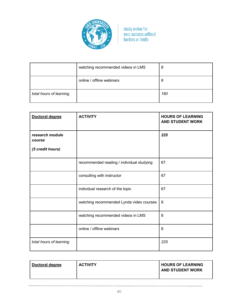

|                         | watching recommended videos in LMS | 8   |
|-------------------------|------------------------------------|-----|
|                         | online / offline webinars          | 8   |
| total hours of learning |                                    | 180 |

| <b>Doctoral degree</b>                        | <b>ACTIVITY</b>                           | <b>HOURS OF LEARNING</b><br><b>AND STUDENT WORK</b> |
|-----------------------------------------------|-------------------------------------------|-----------------------------------------------------|
| research module<br>course<br>(5 credit hours) |                                           | 225                                                 |
|                                               | recommended reading / individual studying | 67                                                  |
|                                               | consulting with instructor                | 67                                                  |
|                                               | individual research of the topic          | 67                                                  |
|                                               | watching recommended Lynda video courses  | 8                                                   |
|                                               | watching recommended videos in LMS        | 8                                                   |
|                                               | online / offline webinars                 | 8                                                   |
| total hours of learning                       |                                           | 225                                                 |

| <b>ACTIVITY</b> | <b>HOURS OF LEARNING</b> |
|-----------------|--------------------------|
| Doctoral degree | <b>AND STUDENT WORK</b>  |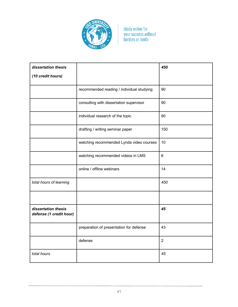

| dissertation thesis                            |                                           | 450            |
|------------------------------------------------|-------------------------------------------|----------------|
| (10 credit hours)                              |                                           |                |
|                                                | recommended reading / individual studying | 90             |
|                                                | consulting with dissertation supervisor   | 90             |
|                                                | individual research of the topic          | 90             |
|                                                | drafting / writing seminar paper          | 150            |
|                                                | watching recommended Lynda video courses  | 10             |
|                                                | watching recommended videos in LMS        | $6\phantom{1}$ |
|                                                | online / offline webinars                 | 14             |
| total hours of learning                        |                                           | 450            |
|                                                |                                           |                |
| dissertation thesis<br>defense (1 credit hour) |                                           | 45             |
|                                                | preparation of presentation for defense   | 43             |
|                                                | defense                                   | $\overline{2}$ |
| total hours                                    |                                           | 45             |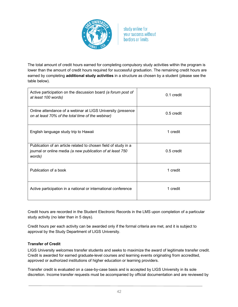

The total amount of credit hours earned for completing compulsory study activities within the program is lower than the amount of credit hours required for successful graduation. The remaining credit hours are earned by completing **additional study activities** in a structure as chosen by a student (please see the table below).

| Active participation on the discussion board (a forum post of<br>at least 100 words)                                                    | $0.1$ credit |
|-----------------------------------------------------------------------------------------------------------------------------------------|--------------|
| Online attendance of a webinar at LIGS University (presence<br>on at least 70% of the total time of the webinar)                        | $0.5$ credit |
| English language study trip to Hawaii                                                                                                   | 1 credit     |
| Publication of an article related to chosen field of study in a<br>journal or online media (a new publication of at least 750<br>words) | $0.5$ credit |
| Publication of a book                                                                                                                   | 1 credit     |
| Active participation in a national or international conference                                                                          | 1 credit     |

Credit hours are recorded in the Student Electronic Records in the LMS upon completion of a particular study activity (no later than in 5 days).

Credit hours per each activity can be awarded only if the formal criteria are met, and it is subject to approval by the Study Department of LIGS University.

## **Transfer of Credit**

LIGS University welcomes transfer students and seeks to maximize the award of legitimate transfer credit. Credit is awarded for earned graduate-level courses and learning events originating from accredited, approved or authorized institutions of higher education or learning providers.

Transfer credit is evaluated on a case-by-case basis and is accepted by LIGS University in its sole discretion. Income transfer requests must be accompanied by official documentation and are reviewed by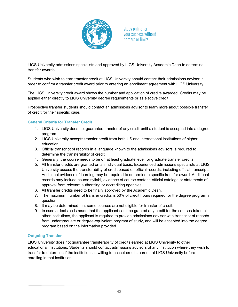

LIGS University admissions specialists and approved by LIGS University Academic Dean to determine transfer awards.

Students who wish to earn transfer credit at LIGS University should contact their admissions advisor in order to confirm a transfer credit award prior to entering an enrollment agreement with LIGS University.

The LIGS University credit award shows the number and application of credits awarded. Credits may be applied either directly to LIGS University degree requirements or as elective credit.

Prospective transfer students should contact an admissions advisor to learn more about possible transfer of credit for their specific case.

#### **General Criteria for Transfer Credit**

- 1. LIGS University does not guarantee transfer of any credit until a student is accepted into a degree program.
- 2. LIGS University accepts transfer credit from both US and international institutions of higher education.
- 3. Official transcript of records in a language known to the admissions advisors is required to determine the transferability of credit.
- 4. Generally, the course needs to be on at least graduate level for graduate transfer credits.
- 5. All transfer credits are granted on an individual basis. Experienced admissions specialists at LIGS University assess the transferability of credit based on official records, including official transcripts. Additional evidence of learning may be required to determine a specific transfer award. Additional records may include course syllabi, evidence of course content, official catalogs or statements of approval from relevant authorizing or accrediting agencies.
- 6. All transfer credits need to be finally approved by the Academic Dean.
- 7. The maximum number of transfer credits is 50% of credit hours required for the degree program in question.
- 8. It may be determined that some courses are not eligible for transfer of credit.
- 9. In case a decision is made that the applicant can't be granted any credit for the courses taken at other institutions, the applicant is required to provide admissions advisor with transcript of records from undergraduate or degree-equivalent program of study, and will be accepted into the degree program based on the information provided.

## **Outgoing Transfer**

LIGS University does not guarantee transferability of credits earned at LIGS University to other educational institutions. Students should contact admissions advisors of any institution where they wish to transfer to determine if the institutions is willing to accept credits earned at LIGS University before enrolling in that institution.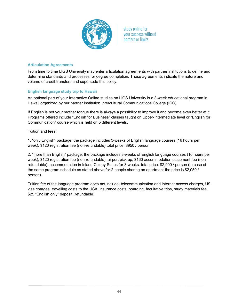

## **Articulation Agreements**

From time to time LIGS University may enter articulation agreements with partner institutions to define and determine standards and processes for degree completion. Those agreements indicate the nature and volume of credit transfers and supersede this policy.

## **English language study trip to Hawaii**

An optional part of your Interactive Online studies on LIGS University is a 3-week educational program in Hawaii organized by our partner institution Intercultural Communications College (ICC).

If English is not your mother tongue there is always a possibility to improve it and become even better at it. Programs offered include "English for Business" classes taught on Upper-Intermediate level or "English for Communication" course which is held on 5 different levels.

Tuition and fees:

1. "only English" package: the package includes 3-weeks of English language courses (16 hours per week), \$120 registration fee (non-refundable) total price: \$950 / person

2. "more than English" package: the package includes 3-weeks of English language courses (16 hours per week), \$120 registration fee (non-refundable), airport pick up, \$160 accommodation placement fee (nonrefundable), accommodation in Island Colony Suites for 3-weeks. total price: \$2,900 / person (In case of the same program schedule as stated above for 2 people sharing an apartment the price is \$2,050 / person).

Tuition fee of the language program does not include: telecommunication and internet access charges, US visa charges, travelling costs to the USA, insurance costs, boarding, facultative trips, study materials fee, \$25 "English only" deposit (refundable).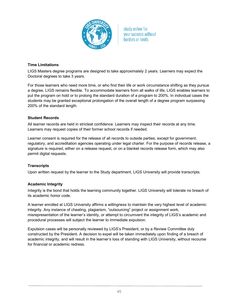

## **Time Limitations**

LIGS Masters degree programs are designed to take approximately 2 years. Learners may expect the Doctoral degrees to take 3 years.

For those learners who need more time, or who find their life or work circumstance shifting as they pursue a degree, LIGS remains flexible. To accommodate learners from all walks of life, LIGS enables learners to put the program on hold or to prolong the standard duration of a program to 200%. In individual cases the students may be granted exceptional prolongation of the overall length of a degree program surpassing 200% of the standard length.

## **Student Records**

All learner records are held in strictest confidence. Learners may inspect their records at any time. Learners may request copies of their former school records if needed.

Learner consent is required for the release of all records to outside parties, except for government, regulatory, and accreditation agencies operating under legal charter. For the purpose of records release, a signature is required, either on a release request, or on a blanket records release form, which may also permit digital requests.

## **Transcripts**

Upon written request by the learner to the Study department, LIGS University will provide transcripts.

## **Academic Integrity**

Integrity is the bond that holds the learning community together. LIGS University will tolerate no breach of its academic honor code.

A learner enrolled at LIGS University affirms a willingness to maintain the very highest level of academic integrity. Any instance of cheating, plagiarism, "outsourcing" project or assignment work, misrepresentation of the learner's identity, or attempt to circumvent the integrity of LIGS's academic and procedural processes will subject the learner to immediate expulsion.

Expulsion cases will be personally reviewed by LIGS's President, or by a Review Committee duly constructed by the President. A decision to expel will be taken immediately upon finding of a breach of academic integrity, and will result in the learner's loss of standing with LIGS University, without recourse for financial or academic redress.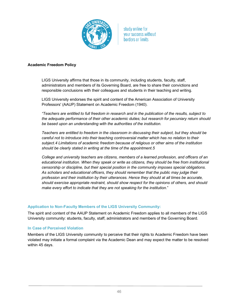

#### **Academic Freedom Policy**

LIGS University affirms that those in its community, including students, faculty, staff, administrators and members of its Governing Board, are free to share their convictions and responsible conclusions with their colleagues and students in their teaching and writing.

LIGS University endorses the spirit and content of the American Association of University Professors' (AAUP) Statement on Academic Freedom (1940).

*"Teachers are entitled to full freedom in research and in the publication of the results, subject to the adequate performance of their other academic duties; but research for pecuniary return should be based upon an understanding with the authorities of the institution.*

*Teachers are entitled to freedom in the classroom in discussing their subject, but they should be careful not to introduce into their teaching controversial matter which has no relation to their subject.4 Limitations of academic freedom because of religious or other aims of the institution should be clearly stated in writing at the time of the appointment.5*

*College and university teachers are citizens, members of a learned profession, and officers of an educational institution. When they speak or write as citizens, they should be free from institutional censorship or discipline, but their special position in the community imposes special obligations. As scholars and educational officers, they should remember that the public may judge their profession and their institution by their utterances. Hence they should at all times be accurate, should exercise appropriate restraint, should show respect for the opinions of others, and should make every effort to indicate that they are not speaking for the institution*."

#### **Application to Non-Faculty Members of the LIGS University Community:**

The spirit and content of the AAUP Statement on Academic Freedom applies to all members of the LIGS University community: students, faculty, staff, administrators and members of the Governing Board.

#### **In Case of Perceived Violation**

Members of the LIGS University community to perceive that their rights to Academic Freedom have been violated may initiate a formal complaint via the Academic Dean and may expect the matter to be resolved within 45 days.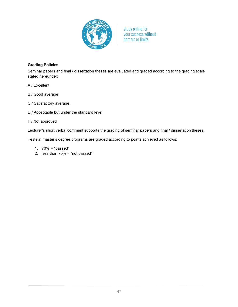

## **Grading Policies**

Seminar papers and final / dissertation theses are evaluated and graded according to the grading scale stated hereunder:

- A / Excellent
- B / Good average
- C / Satisfactory average
- D / Acceptable but under the standard level

#### F / Not approved

Lecturer's short verbal comment supports the grading of seminar papers and final / dissertation theses.

Tests in master's degree programs are graded according to points achieved as follows:

- 1. 70% = "passed"
- 2. less than 70% = "not passed"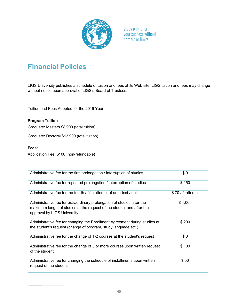

# **Financial Policies**

LIGS University publishes a schedule of tuition and fees at its Web site. LIGS tuition and fees may change without notice upon approval of LIGS's Board of Trustees.

Tuition and Fees Adopted for the 2019 Year:

**Program Tuition** Graduate: Masters \$8,900 (total tuition)

Graduate: Doctoral \$13,900 (total tuition)

## **Fees:**

Application Fee: \$100 (non-refundable)

| Administrative fee for the first prolongation / interruption of studies                                                                                                        | \$0              |
|--------------------------------------------------------------------------------------------------------------------------------------------------------------------------------|------------------|
| Administrative fee for repeated prolongation / interruption of studies                                                                                                         | \$150            |
| Administrative fee for the fourth / fifth attempt of an e-test / quiz                                                                                                          | \$70 / 1 attempt |
| Administrative fee for extraordinary prolongation of studies after the<br>maximum length of studies at the request of the student and after the<br>approval by LIGS University | \$1,000          |
| Administrative fee for changing the Enrollment Agreement during studies at<br>the student's request (change of program, study language etc.)                                   | \$200            |
| Administrative fee for the change of 1-2 courses at the student's request                                                                                                      | \$0              |
| Administrative fee for the change of 3 or more courses upon written request<br>of the student                                                                                  | \$100            |
| Administrative fee for changing the schedule of installments upon written<br>request of the student                                                                            | \$50             |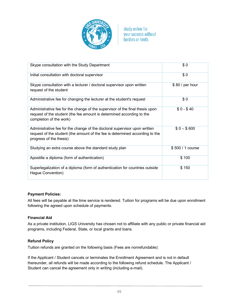

| Skype consultation with the Study Department                                                                                                                                         | \$0              |
|--------------------------------------------------------------------------------------------------------------------------------------------------------------------------------------|------------------|
| Initial consultation with doctoral supervisor                                                                                                                                        | \$0              |
| Skype consultation with a lecturer / doctoral supervisor upon written<br>request of the student                                                                                      | \$80 / per hour  |
| Administrative fee for changing the lecturer at the student's request                                                                                                                | \$0              |
| Administrative fee for the change of the supervisor of the final thesis upon<br>request of the student (the fee amount is determined according to the<br>completion of the work)     | $$0 - $40$       |
| Administrative fee for the change of the doctoral supervisor upon written<br>request of the student (the amount of the fee is determined according to the<br>progress of the thesis) | $$0 - $600$      |
| Studying an extra course above the standard study plan                                                                                                                               | \$500 / 1 course |
| Apostille a diploma (form of authentication)                                                                                                                                         | \$100            |
| Superlegalization of a diploma (form of authentication for countries outside<br>Hague Convention)                                                                                    | \$150            |

## **Payment Policies:**

All fees will be payable at the time service is rendered. Tuition for programs will be due upon enrollment following the agreed upon schedule of payments.

## **Financial Aid**

As a private institution, LIGS University has chosen not to affiliate with any public or private financial aid programs, including Federal, State, or local grants and loans.

## **Refund Policy**

Tuition refunds are granted on the following basis (Fees are nonrefundable):

If the Applicant / Student cancels or terminates the Enrollment Agreement and is not in default thereunder, all refunds will be made according to the following refund schedule. The Applicant / Student can cancel the agreement only in writing (including e-mail).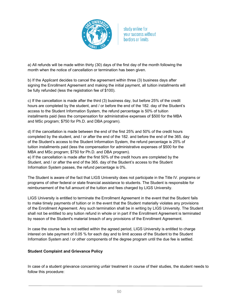

a) All refunds will be made within thirty (30) days of the first day of the month following the month when the notice of cancellation or termination has been given.

b) If the Applicant decides to cancel the agreement within three (3) business days after signing the Enrollment Agreement and making the initial payment, all tuition installments will be fully refunded (less the registration fee of \$100).

c) If the cancellation is made after the third (3) business day, but before 25% of the credit hours are completed by the student, and / or before the end of the 182. day of the Student's access to the Student Information System, the refund percentage is 50% of tuition installments paid (less the compensation for administrative expenses of \$500 for the MBA and MSc program; \$750 for Ph.D. and DBA program).

d) If the cancellation is made between the end of the first 25% and 50% of the credit hours completed by the student, and / or after the end of the 182. and before the end of the 365. day of the Student's access to the Student Information System, the refund percentage is 25% of tuition installments paid (less the compensation for administrative expenses of \$500 for the MBA and MSc program; \$750 for Ph.D. and DBA program).

e) If the cancellation is made after the first 50% of the credit hours are completed by the Student, and / or after the end of the 365. day of the Student's access to the Student Information System passes, the refund percentage is 0%.

The Student is aware of the fact that LIGS University does not participate in the Title IV. programs or programs of other federal or state financial assistance to students. The Student is responsible for reimbursement of the full amount of the tuition and fees charged by LIGS University.

LIGS University is entitled to terminate the Enrollment Agreement in the event that the Student fails to make timely payments of tuition or in the event that the Student materially violates any provisions of the Enrollment Agreement. Any such termination shall be in writing by LIGS University. The Student shall not be entitled to any tuition refund in whole or in part if the Enrollment Agreement is terminated by reason of the Student's material breach of any provisions of the Enrollment Agreement.

In case the course fee is not settled within the agreed period, LIGS University is entitled to charge interest on late payment of 0.05 % for each day and to limit access of the Student to the Student Information System and / or other components of the degree program until the due fee is settled.

## **Student Complaint and Grievance Policy**

In case of a student grievance concerning unfair treatment in course of their studies, the student needs to follow this procedure: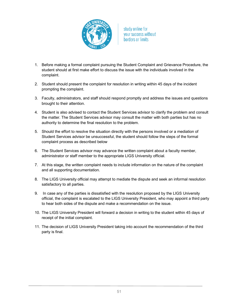

- 1. Before making a formal complaint pursuing the Student Complaint and Grievance Procedure, the student should at first make effort to discuss the issue with the individuals involved in the complaint.
- 2. Student should present the complaint for resolution in writing within 45 days of the incident prompting the complaint.
- 3. Faculty, administrators, and staff should respond promptly and address the issues and questions brought to their attention.
- 4. Student is also advised to contact the Student Services advisor to clarify the problem and consult the matter. The Student Services advisor may consult the matter with both parties but has no authority to determine the final resolution to the problem.
- 5. Should the effort to resolve the situation directly with the persons involved or a mediation of Student Services advisor be unsuccessful, the student should follow the steps of the formal complaint process as described below
- 6. The Student Services advisor may advance the written complaint about a faculty member, administrator or staff member to the appropriate LIGS University official.
- 7. At this stage, the written complaint needs to include information on the nature of the complaint and all supporting documentation.
- 8. The LIGS University official may attempt to mediate the dispute and seek an informal resolution satisfactory to all parties.
- 9. In case any of the parties is dissatisfied with the resolution proposed by the LIGS University official, the complaint is escalated to the LIGS University President, who may appoint a third party to hear both sides of the dispute and make a recommendation on the issue.
- 10. The LIGS University President will forward a decision in writing to the student within 45 days of receipt of the initial complaint.
- 11. The decision of LIGS University President taking into account the recommendation of the third party is final.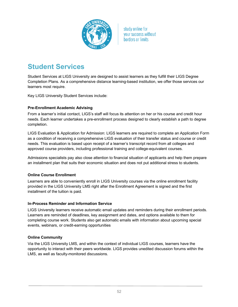

## **Student Services**

Student Services at LIGS University are designed to assist learners as they fulfill their LIGS Degree Completion Plans. As a comprehensive distance learning-based institution, we offer those services our learners most require.

Key LIGS University Student Services include:

## **Pre-Enrollment Academic Advising**

From a learner's initial contact, LIGS's staff will focus its attention on her or his course and credit hour needs. Each learner undertakes a pre-enrollment process designed to clearly establish a path to degree completion.

LIGS Evaluation & Application for Admission: LIGS learners are required to complete an Application Form as a condition of receiving a comprehensive LIGS evaluation of their transfer status and course or credit needs. This evaluation is based upon receipt of a learner's transcript record from all colleges and approved course providers, including professional training and college-equivalent courses.

Admissions specialists pay also close attention to financial situation of applicants and help them prepare an installment plan that suits their economic situation and does not put additional stress to students.

## **Online Course Enrollment**

Learners are able to conveniently enroll in LIGS University courses via the online enrollment facility provided in the LIGS University LMS right after the Enrollment Agreement is signed and the first installment of the tuition is paid.

## **In-Process Reminder and Information Service**

LIGS University learners receive automatic email updates and reminders during their enrollment periods. Learners are reminded of deadlines, key assignment and dates, and options available to them for completing course work. Students also get automatic emails with information about upcoming special events, webinars, or credit-earning opportunities

## **Online Community**

Via the LIGS University LMS, and within the context of individual LIGS courses, learners have the opportunity to interact with their peers worldwide. LIGS provides unedited discussion forums within the LMS, as well as faculty-monitored discussions.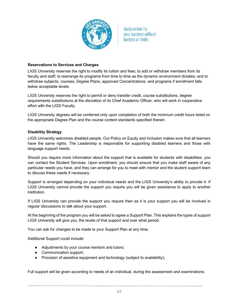

## **Reservations to Services and Charges**

LIGS University reserves the right to modify its tuition and fees; to add or withdraw members from its faculty and staff; to rearrange its programs from time to time as the dynamic environment dictates; and to withdraw subjects, courses, Degree Plans, approved Concentrations, and programs if enrollment falls below acceptable levels.

LIGS University reserves the right to permit or deny transfer credit, course substitutions, degree requirements substitutions at the discretion of its Chief Academic Officer, who will work in cooperative effort with the LIGS Faculty.

LIGS University degrees will be conferred only upon completion of both the minimum credit hours listed on the appropriate Degree Plan and the course content standards specified therein.

#### **Disability Strategy**

LIGS University welcomes disabled people. Our Policy on Equity and Inclusion makes sure that all learners have the same rights. The Leadership is responsible for supporting disabled learners and those with language support needs.

Should you require more information about the support that is available for students with disabilities, you can contact the Student Services. Upon enrollment, you should ensure that you make staff aware of any particular needs you have, and they can arrange for you to meet with mentor and the student support team to discuss these needs if necessary.

Support is arranged depending on your individual needs and the LIGS University's ability to provide it. If LIGS University cannot provide the support you require you will be given assistance to apply to another institution.

If LIGS University can provide the support you require then as it is your support you will be involved in regular discussions to talk about your support.

At the beginning of the program you will be asked to agree a Support Plan. This explains the types of support LIGS University will give you, the levels of that support and over what period.

You can ask for changes to be made to your Support Plan at any time.

Additional Support could include:

- Adjustments by your course mentors and tutors;
- Communication support;
- Provision of assistive equipment and technology (subject to availability);

Full support will be given according to needs of an individual, during the assessment and examinations.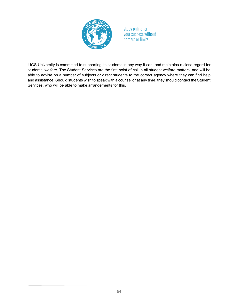

LIGS University is committed to supporting its students in any way it can, and maintains a close regard for students' welfare. The Student Services are the first point of call in all student welfare matters, and will be able to advise on a number of subjects or direct students to the correct agency where they can find help and assistance. Should students wish to speak with a counsellor at any time, they should contact the Student Services, who will be able to make arrangements for this.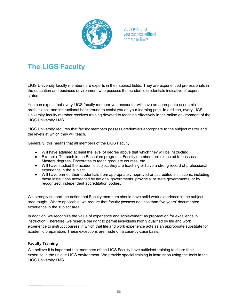

# **The LIGS Faculty**

LIGS University faculty members are experts in their subject fields. They are experienced professionals in the education and business environment who possess the academic credentials indicative of expert status.

You can expect that every LIGS faculty member you encounter will have an appropriate academic, professional, and instructional background to assist you on your learning path. In addition, every LIGS University faculty member receives training devoted to teaching effectively in the online environment of the LIGS University LMS.

LIGS University requires that faculty members possess credentials appropriate to the subject matter and the levels at which they will teach.

Generally, this means that all members of the LIGS Faculty:

- Will have attained at least the level of degree above that which they will be instructing
- Example: To teach in the Bachelors programs, Faculty members are expected to possess Masters degrees, Doctorates to teach graduate courses, etc.
- Will have studied the academic subject they are teaching or have a strong record of professional experience in the subject
- Will have earned their credentials from appropriately approved or accredited institutions, including those institutions accredited by national governments, provincial or state governments, or by recognized, independent accreditation bodies.

We strongly support the notion that Faculty members should have solid work experience in the subject area taught. Where applicable, we require that faculty possess not less than five years' documented experience in the subject area.

In addition, we recognize the value of experience and achievement as preparation for excellence in instruction. Therefore, we reserve the right to permit individuals highly qualified by life and work experience to instruct courses in which that life and work experience acts as an appropriate substitute for academic preparation. These exceptions are made on a case-by-case basis.

## **Faculty Training**

We believe it is important that members of the LIGS Faculty have sufficient training to share their expertise in the unique LIGS environment. We provide special training in instruction using the tools in the LIGS University LMS.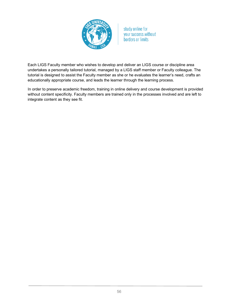

Each LIGS Faculty member who wishes to develop and deliver an LIGS course or discipline area undertakes a personally tailored tutorial, managed by a LIGS staff member or Faculty colleague. The tutorial is designed to assist the Faculty member as she or he evaluates the learner's need, crafts an educationally appropriate course, and leads the learner through the learning process.

In order to preserve academic freedom, training in online delivery and course development is provided without content specificity. Faculty members are trained only in the processes involved and are left to integrate content as they see fit.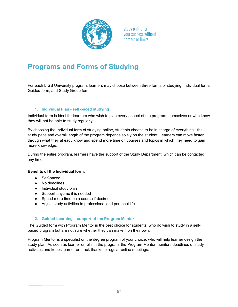

## **Programs and Forms of Studying**

For each LIGS University program, learners may choose between three forms of studying: Individual form, Guided form, and Study Group form.

#### **1. Individual Plan - self-paced studying**

Individual form is ideal for learners who wish to plan every aspect of the program themselves or who know they will not be able to study regularly

By choosing the Individual form of studying online, students choose to be in charge of everything - the study pace and overall length of the program depends solely on the student. Learners can move faster through what they already know and spend more time on courses and topics in which they need to gain more knowledge.

During the entire program, learners have the support of the Study Department, which can be contacted any time.

#### **Benefits of the Individual form:**

- Self-paced
- No deadlines
- Individual study plan
- Support anytime it is needed
- Spend more time on a course if desired
- Adjust study activities to professional and personal life

## **2. Guided Learning – support of the Program Mentor**

The Guided form with Program Mentor is the best choice for students, who do wish to study in a selfpaced program but are not sure whether they can make it on their own.

Program Mentor is a specialist on the degree program of your choice, who will help learner design the study plan. As soon as learner enrolls in the program, the Program Mentor monitors deadlines of study activities and keeps learner on track thanks to regular online meetings.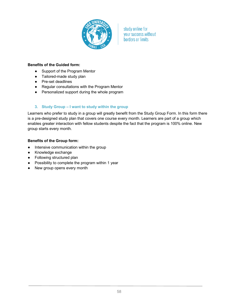

#### **Benefits of the Guided form:**

- Support of the Program Mentor
- Tailored-made study plan
- Pre-set deadlines
- Regular consultations with the Program Mentor
- Personalized support during the whole program

#### **3. Study Group – I want to study within the group**

Learners who prefer to study in a group will greatly benefit from the Study Group Form. In this form there is a pre-designed study plan that covers one course every month. Learners are part of a group which enables greater interaction with fellow students despite the fact that the program is 100% online. New group starts every month.

#### **Benefits of the Group form:**

- Intensive communication within the group
- Knowledge exchange
- Following structured plan
- Possibility to complete the program within 1 year
- New group opens every month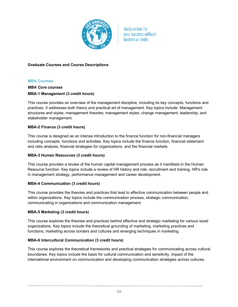

## **Graduate Courses and Course Descriptions**

#### **MBA Courses**

## *MBA Core courses* **MBA-1 Management (3 credit hours)**

This course provides an overview of the management discipline, including its key concepts, functions and practices. It addresses both theory and practical art of management. Key topics include: Management structures and styles; management theories; management styles; change management; leadership; and stakeholder management.

## **MBA-2 Finance (3 credit hours)**

This course is designed as an intense introduction to the finance function for non-financial managers including concepts, functions and activities. Key topics include the finance function, financial statement and ratio analysis, financial strategies for organizations, and the financial markets.

## **MBA-3 Human Resources (3 credit hours)**

This course provides a review of the human capital management process as it manifests in the Human Resource function. Key topics include a review of HR history and role, recruitment and training, HR's role in management strategy, performance management and career development.

## **MBA-4 Communication (3 credit hours)**

This course provides the theories and practices that lead to effective communication between people and within organizations. Key topics include the communication process, strategic communication, communicating in organizations and communication management.

## **MBA-5 Marketing (3 credit hours)**

This course explores the theories and practices behind effective and strategic marketing for various sized organizations. Key topics include the theoretical grounding of marketing, marketing practices and functions, marketing across borders and cultures and emerging techniques in marketing.

#### **MBA-6 Intercultural Communication (3 credit hours)**

This course explores the theoretical frameworks and practical strategies for communicating across cultural boundaries. Key topics include the basis for cultural communication and sensitivity, impact of the international environment on communication and developing communication strategies across cultures.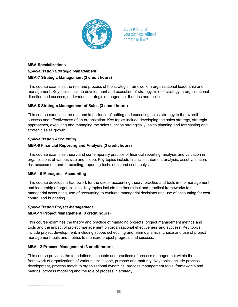

## **MBA Specializations** *Specialization Strategic Management* **MBA-7 Strategic Management (3 credit hours)**

This course examines the role and process of the strategic framework in organizational leadership and management. Key topics include development and execution of strategy, role of strategy in organizational direction and success, and various strategic management theories and tactics.

## **MBA-8 Strategic Management of Sales (3 credit hours)**

This course examines the role and importance of setting and executing sales strategy to the overall success and effectiveness of an organization. Key topics include developing the sales strategy, strategic approaches, executing and managing the sales function strategically, sales planning and forecasting and strategic sales growth.

## *Specialization Accounting*

## **MBA-9 Financial Reporting and Analysis (3 credit hours)**

This course examines theory and contemporary practice of financial reporting, analysis and valuation in organizations of various size and scope. Key topics include financial statement analysis, asset valuation, risk assessment and forecasting, reporting techniques and cost analysis.

## **MBA-10 Managerial Accounting**

This course develops a framework for the use of accounting theory, practice and tools in the management and leadership of organizations. Key topics include the theoretical and practical frameworks for managerial accounting, use of accounting to evaluate managerial decisions and use of accounting for cost control and budgeting.

## *Specialization Project Management*

## **MBA-11 Project Management (3 credit hours)**

This course examines the theory and practice of managing projects, project management metrics and tools and the impact of project management on organizational effectiveness and success. Key topics include project development, including scope, scheduling and team dynamics, choice and use of project management tools and metrics to measure project progress and success.

## **MBA-12 Process Management (3 credit hours)**

This course provides the foundations, concepts and practices of process management within the framework of organizations of various size, scope, purpose and maturity. Key topics include process development, process match to organizational dynamics, process management tools, frameworks and metrics, process modeling and the role of process in strategy.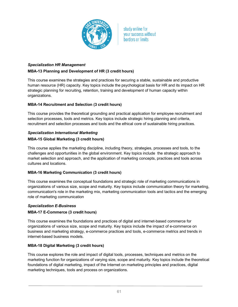

## *Specialization HR Management* **MBA-13 Planning and Development of HR (3 credit hours)**

This course examines the strategies and practices for securing a stable, sustainable and productive human resource (HR) capacity. Key topics include the psychological basis for HR and its impact on HR strategic planning for recruiting, retention, training and development of human capacity within organizations.

## **MBA-14 Recruitment and Selection (3 credit hours)**

This course provides the theoretical grounding and practical application for employee recruitment and selection processes, tools and metrics. Key topics include strategic hiring planning and criteria, recruitment and selection processes and tools and the ethical core of sustainable hiring practices.

## *Specialization International Marketing*

## **MBA-15 Global Marketing (3 credit hours)**

This course applies the marketing discipline, including theory, strategies, processes and tools, to the challenges and opportunities in the global environment. Key topics include the strategic approach to market selection and approach, and the application of marketing concepts, practices and tools across cultures and locations.

## **MBA-16 Marketing Communication (3 credit hours)**

This course examines the conceptual foundations and strategic role of marketing communications in organizations of various size, scope and maturity. Key topics include communication theory for marketing, communication's role in the marketing mix, marketing communication tools and tactics and the emerging role of marketing communication

## *Specialization E-Business*

## **MBA-17 E-Commerce (3 credit hours)**

This course examines the foundations and practices of digital and internet-based commerce for organizations of various size, scope and maturity. Key topics include the impact of e-commerce on business and marketing strategy, e-commerce practices and tools, e-commerce metrics and trends in internet-based business models.

## **MBA-18 Digital Marketing (3 credit hours)**

This course explores the role and impact of digital tools, processes, techniques and metrics on the marketing function for organizations of varying size, scope and maturity. Key topics include the theoretical foundations of digital marketing, impact of the Internet on marketing principles and practices, digital marketing techniques, tools and process on organizations.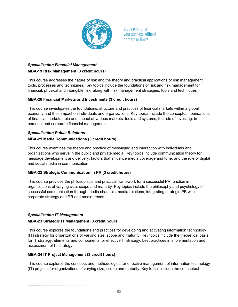

## *Specialization Financial Management* **MBA-19 Risk Management (3 credit hours)**

This course addresses the nature of risk and the theory and practical applications of risk management tools, processes and techniques. Key topics include the foundations of risk and risk management for financial, physical and intangible risk, along with risk management strategies, tools and techniques

## **MBA-20 Financial Markets and Investments (3 credit hours)**

This course investigates the foundations, structure and practices of financial markets within a global economy and their impact on individuals and organizations. Key topics include the conceptual foundations of financial markets, role and impact of various markets, tools and systems, the role of investing, in personal and corporate financial management

# *Specialization Public Relations*

## **MBA-21 Media Communications (3 credit hours)**

This course examines the theory and practice of messaging and interaction with individuals and organizations who serve in the public and private media. Key topics include communication theory for message development and delivery, factors that influence media coverage and tone, and the role of digital and social media in communication

## **MBA-22 Strategic Communication in PR (3 credit hours)**

This course provides the philosophical and practical framework for a successful PR function in organizations of varying size, scope and maturity. Key topics include the philosophy and psychology of successful communication through media channels, media relations, integrating strategic PR with corporate strategy and PR and media trends

## *Specialization IT Management*

## **MBA-23 Strategic IT Management (3 credit hours)**

This course explores the foundations and practices for developing and activating information technology (IT) strategy for organizations of varying size, scope and maturity. Key topics include the theoretical basis for IT strategy, elements and components for effective IT strategy, best practices in implementation and assessment of IT strategy

## **MBA-24 IT Project Management (3 credit hours)**

This course explores the concepts and methodologies for effective management of information technology (IT) projects for organizations of varying size, scope and maturity. Key topics include the conceptual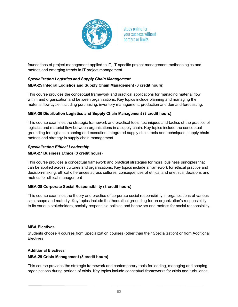

foundations of project management applied to IT, IT-specific project management methodologies and metrics and emerging trends in IT project management

## *Specialization Logistics and Supply Chain Management* **MBA-25 Integral Logistics and Supply Chain Management (3 credit hours)**

This course provides the conceptual framework and practical applications for managing material flow within and organization and between organizations. Key topics include planning and managing the material flow cycle, including purchasing, inventory management, production and demand forecasting.

## **MBA-26 Distribution Logistics and Supply Chain Management (3 credit hours)**

This course examines the strategic framework and practical tools, techniques and tactics of the practice of logistics and material flow between organizations in a supply chain. Key topics include the conceptual grounding for logistics planning and execution, integrated supply chain tools and techniques, supply chain metrics and strategy in supply chain management

## *Specialization Ethical Leadership*

## **MBA-27 Business Ethics (3 credit hours)**

This course provides a conceptual framework and practical strategies for moral business principles that can be applied across cultures and organizations. Key topics include a framework for ethical practice and decision-making, ethical differences across cultures, consequences of ethical and unethical decisions and metrics for ethical management

## **MBA-28 Corporate Social Responsibility (3 credit hours)**

This course examines the theory and practice of corporate social responsibility in organizations of various size, scope and maturity. Key topics include the theoretical grounding for an organization's responsibility to its various stakeholders, socially responsible policies and behaviors and metrics for social responsibility.

## **MBA Electives**

Students choose 4 courses from Specialization courses (other than their Specialization) or from Additional **Electives** 

## **Additional Electives**

## **MBA-29 Crisis Management (3 credit hours)**

This course provides the strategic framework and contemporary tools for leading, managing and shaping organizations during periods of crisis. Key topics include conceptual frameworks for crisis and turbulence,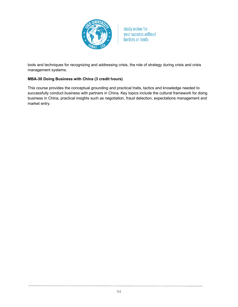

tools and techniques for recognizing and addressing crisis, the role of strategy during crisis and crisis management systems.

## **MBA-30 Doing Business with China (3 credit hours)**

This course provides the conceptual grounding and practical traits, tactics and knowledge needed to successfully conduct business with partners in China. Key topics include the cultural framework for doing business in China, practical insights such as negotiation, fraud detection, expectations management and market entry.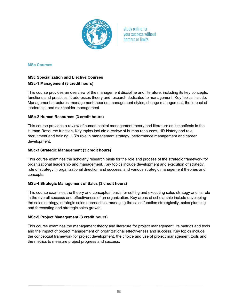

#### **MSc Courses**

## **MSc Specialization and Elective Courses MSc-1 Management (3 credit hours)**

This course provides an overview of the management discipline and literature, including its key concepts, functions and practices. It addresses theory and research dedicated to management. Key topics include: Management structures; management theories; management styles; change management; the impact of leadership; and stakeholder management.

#### **MSc-2 Human Resources (3 credit hours)**

This course provides a review of human capital management theory and literature as it manifests in the Human Resource function. Key topics include a review of human resources, HR history and role, recruitment and training, HR's role in management strategy, performance management and career development.

#### **MSc-3 Strategic Management (3 credit hours)**

This course examines the scholarly research basis for the role and process of the strategic framework for organizational leadership and management. Key topics include development and execution of strategy, role of strategy in organizational direction and success, and various strategic management theories and concepts.

#### **MSc-4 Strategic Management of Sales (3 credit hours)**

This course examines the theory and conceptual basis for setting and executing sales strategy and its role in the overall success and effectiveness of an organization. Key areas of scholarship include developing the sales strategy, strategic sales approaches, managing the sales function strategically, sales planning and forecasting and strategic sales growth.

#### **MSc-5 Project Management (3 credit hours)**

This course examines the management theory and literature for project management, its metrics and tools and the impact of project management on organizational effectiveness and success. Key topics include the conceptual framework for project development, the choice and use of project management tools and the metrics to measure project progress and success.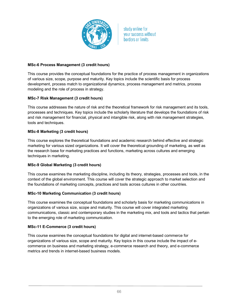

## **MSc-6 Process Management (3 credit hours)**

This course provides the conceptual foundations for the practice of process management in organizations of various size, scope, purpose and maturity. Key topics include the scientific basis for process development, process match to organizational dynamics, process management and metrics, process modeling and the role of process in strategy.

## **MSc-7 Risk Management (3 credit hours)**

This course addresses the nature of risk and the theoretical framework for risk management and its tools, processes and techniques. Key topics include the scholarly literature that develops the foundations of risk and risk management for financial, physical and intangible risk, along with risk management strategies, tools and techniques.

## **MSc-8 Marketing (3 credit hours)**

This course explores the theoretical foundations and academic research behind effective and strategic marketing for various sized organizations. It will cover the theoretical grounding of marketing, as well as the research base for marketing practices and functions, marketing across cultures and emerging techniques in marketing.

## **MSc-9 Global Marketing (3 credit hours)**

This course examines the marketing discipline, including its theory, strategies, processes and tools, in the context of the global environment. This course will cover the strategic approach to market selection and the foundations of marketing concepts, practices and tools across cultures in other countries.

## **MSc-10 Marketing Communication (3 credit hours)**

This course examines the conceptual foundations and scholarly basis for marketing communications in organizations of various size, scope and maturity. This course will cover integrated marketing communications, classic and contemporary studies in the marketing mix, and tools and tactics that pertain to the emerging role of marketing communication.

## **MSc-11 E-Commerce (3 credit hours)**

This course examines the conceptual foundations for digital and internet-based commerce for organizations of various size, scope and maturity. Key topics in this course include the impact of ecommerce on business and marketing strategy, e-commerce research and theory, and e-commerce metrics and trends in internet-based business models.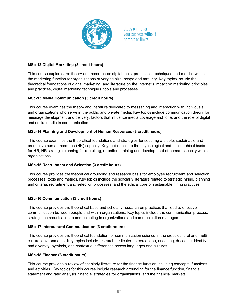

## **MSc-12 Digital Marketing (3 credit hours)**

This course explores the theory and research on digital tools, processes, techniques and metrics within the marketing function for organizations of varying size, scope and maturity. Key topics include the theoretical foundations of digital marketing, and literature on the Internet's impact on marketing principles and practices, digital marketing techniques, tools and processes.

## **MSc-13 Media Communication (3 credit hours)**

This course examines the theory and literature dedicated to messaging and interaction with individuals and organizations who serve in the public and private media. Key topics include communication theory for message development and delivery, factors that influence media coverage and tone, and the role of digital and social media in communication.

## **MSc-14 Planning and Development of Human Resources (3 credit hours)**

This course examines the theoretical foundations and strategies for securing a stable, sustainable and productive human resource (HR) capacity. Key topics include the psychological and philosophical basis for HR, HR strategic planning for recruiting, retention, training and development of human capacity within organizations.

## **MSc-15 Recruitment and Selection (3 credit hours)**

This course provides the theoretical grounding and research basis for employee recruitment and selection processes, tools and metrics. Key topics include the scholarly literature related to strategic hiring, planning and criteria, recruitment and selection processes, and the ethical core of sustainable hiring practices.

## **MSc-16 Communication (3 credit hours)**

This course provides the theoretical base and scholarly research on practices that lead to effective communication between people and within organizations. Key topics include the communication process, strategic communication, communicating in organizations and communication management.

## **MSc-17 Intercultural Communication (3 credit hours)**

This course provides the theoretical foundation for communication science in the cross cultural and multicultural environments. Key topics include research dedicated to perception, encoding, decoding, identity and diversity, symbols, and contextual differences across languages and cultures.

## **MSc-18 Finance (3 credit hours)**

This course provides a review of scholarly literature for the finance function including concepts, functions and activities. Key topics for this course include research grounding for the finance function, financial statement and ratio analysis, financial strategies for organizations, and the financial markets.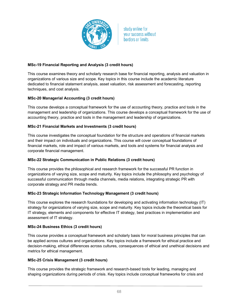

## **MSc-19 Financial Reporting and Analysis (3 credit hours)**

This course examines theory and scholarly research base for financial reporting, analysis and valuation in organizations of various size and scope. Key topics in this course include the academic literature dedicated to financial statement analysis, asset valuation, risk assessment and forecasting, reporting techniques, and cost analysis.

## **MSc-20 Managerial Accounting (3 credit hours)**

This course develops a conceptual framework for the use of accounting theory, practice and tools in the management and leadership of organizations. This course develops a conceptual framework for the use of accounting theory, practice and tools in the management and leadership of organizations.

## **MSc-21 Financial Markets and Investments (3 credit hours)**

This course investigates the conceptual foundation for the structure and operations of financial markets and their impact on individuals and organizations. This course will cover conceptual foundations of financial markets, role and impact of various markets, and tools and systems for financial analysis and corporate financial management.

## **MSc-22 Strategic Communication in Public Relations (3 credit hours)**

This course provides the philosophical and research framework for the successful PR function in organizations of varying size, scope and maturity. Key topics include the philosophy and psychology of successful communication through media channels, media relations, integrating strategic PR with corporate strategy and PR media trends.

## **MSc-23 Strategic Information Technology Management (3 credit hours)**

This course explores the research foundations for developing and activating information technology (IT) strategy for organizations of varying size, scope and maturity. Key topics include the theoretical basis for IT strategy, elements and components for effective IT strategy, best practices in implementation and assessment of IT strategy.

## **MSc-24 Business Ethics (3 credit hours)**

This course provides a conceptual framework and scholarly basis for moral business principles that can be applied across cultures and organizations. Key topics include a framework for ethical practice and decision-making, ethical differences across cultures, consequences of ethical and unethical decisions and metrics for ethical management.

## **MSc-25 Crisis Management (3 credit hours)**

This course provides the strategic framework and research-based tools for leading, managing and shaping organizations during periods of crisis. Key topics include conceptual frameworks for crisis and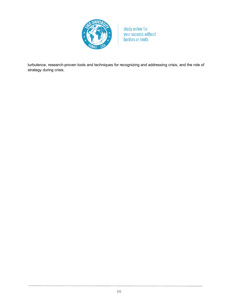

turbulence, research-proven tools and techniques for recognizing and addressing crisis, and the role of strategy during crisis.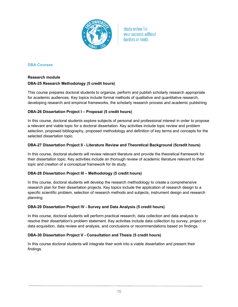

## **DBA Courses**

## **Research module**

## **DBA-25 Research Methodology (5 credit hours)**

This course prepares doctoral students to organize, perform and publish scholarly research appropriate for academic audiences. Key topics include formal methods of qualitative and quantitative research, developing research and empirical frameworks, the scholarly research process and academic publishing

## **DBA-26 Dissertation Project I – Proposal (5 credit hours)**

In this course, doctoral students explore subjects of personal and professional interest in order to propose a relevant and viable topic for a doctoral dissertation. Key activities include topic review and problem selection, proposed bibliography, proposed methodology and definition of key terms and concepts for the selected dissertation topic.

## **DBA-27 Dissertation Project II - Literature Review and Theoretical Background (5credit hours)**

In this course, doctoral students will review relevant literature and provide the theoretical framework for their dissertation topic. Key activities include an thorough review of academic literature relevant to their topic and creation of a conceptual framework for its study.

## **DBA-28 Dissertation Project III – Methodology (5 credit hours)**

In this course, doctoral students will develop the research methodology to create a comprehensive research plan for their dissertation projects. Key topics include the application of research design to a specific scientific problem, selection of research methods and subjects, instrument design and research planning.

## **DBA-29 Dissertation Project IV - Survey and Data Analysis (5 credit hours)**

In this course, doctoral students will perform practical research, data collection and data analysis to resolve their dissertation's problem statement. Key activities include data collection by survey, project or data acquisition, data review and analysis, and conclusions or recommendations based on findings.

## **DBA-30 Dissertation Project V - Consultation and Thesis (5 credit hours)**

In this course doctoral students will integrate their work into a viable dissertation and present their findings.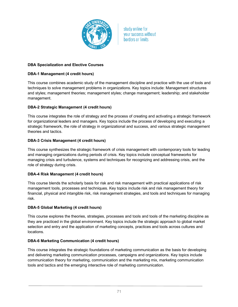

## **DBA Specialization and Elective Courses**

## **DBA-1 Management (4 credit hours)**

This course combines academic study of the management discipline and practice with the use of tools and techniques to solve management problems in organizations. Key topics include: Management structures and styles; management theories; management styles; change management; leadership; and stakeholder management.

## **DBA-2 Strategic Management (4 credit hours)**

This course integrates the role of strategy and the process of creating and activating a strategic framework for organizational leaders and managers. Key topics include the process of developing and executing a strategic framework, the role of strategy in organizational and success, and various strategic management theories and tactics.

## **DBA-3 Crisis Management (4 credit hours)**

This course synthesizes the strategic framework of crisis management with contemporary tools for leading and managing organizations during periods of crisis. Key topics include conceptual frameworks for managing crisis and turbulence, systems and techniques for recognizing and addressing crisis, and the role of strategy during crisis.

## **DBA-4 Risk Management (4 credit hours)**

This course blends the scholarly basis for risk and risk management with practical applications of risk management tools, processes and techniques. Key topics include risk and risk management theory for financial, physical and intangible risk, risk management strategies, and tools and techniques for managing risk.

## **DBA-5 Global Marketing (4 credit hours)**

This course explores the theories, strategies, processes and tools and tools of the marketing discipline as they are practiced in the global environment. Key topics include the strategic approach to global market selection and entry and the application of marketing concepts, practices and tools across cultures and locations.

## **DBA-6 Marketing Communication (4 credit hours)**

This course integrates the strategic foundations of marketing communication as the basis for developing and delivering marketing communication processes, campaigns and organizations. Key topics include communication theory for marketing, communication and the marketing mix, marketing communication tools and tactics and the emerging interactive role of marketing communication.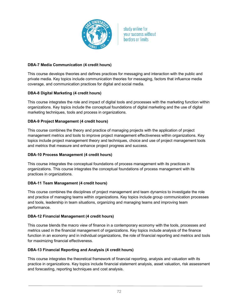

## **DBA-7 Media Communication (4 credit hours)**

This course develops theories and defines practices for messaging and interaction with the public and private media. Key topics include communication theories for messaging, factors that influence media coverage, and communication practices for digital and social media.

## **DBA-8 Digital Marketing (4 credit hours)**

This course integrates the role and impact of digital tools and processes with the marketing function within organizations. Key topics include the conceptual foundations of digital marketing and the use of digital marketing techniques, tools and process in organizations.

## **DBA-9 Project Management (4 credit hours)**

This course combines the theory and practice of managing projects with the application of project management metrics and tools to improve project management effectiveness within organizations. Key topics include project management theory and techniques, choice and use of project management tools and metrics that measure and enhance project progress and success.

## **DBA-10 Process Management (4 credit hours)**

This course integrates the conceptual foundations of process management with its practices in organizations. This course integrates the conceptual foundations of process management with its practices in organizations.

## **DBA-11 Team Management (4 credit hours)**

This course combines the disciplines of project management and team dynamics to investigate the role and practice of managing teams within organizations. Key topics include group communication processes and tools, leadership in team situations, organizing and managing teams and improving team performance.

## **DBA-12 Financial Management (4 credit hours)**

This course blends the macro view of finance in a contemporary economy with the tools, processes and metrics used in the financial management of organizations. Key topics include analysis of the finance function in an economy and in individual organizations, the role of financial reporting and metrics and tools for maximizing financial effectiveness.

## **DBA-13 Financial Reporting and Analysis (4 credit hours)**

This course integrates the theoretical framework of financial reporting, analysis and valuation with its practice in organizations. Key topics include financial statement analysis, asset valuation, risk assessment and forecasting, reporting techniques and cost analysis.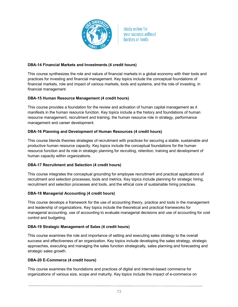

## **DBA-14 Financial Markets and Investments (4 credit hours)**

This course synthesizes the role and nature of financial markets in a global economy with their tools and practices for investing and financial management. Key topics include the conceptual foundations of financial markets, role and impact of various markets, tools and systems, and the role of investing, in financial management

## **DBA-15 Human Resource Management (4 credit hours)**

This course provides a foundation for the review and activation of human capital management as it manifests in the human resource function. Key topics include a the history and foundations of human resource management, recruitment and training, the human resource role in strategy, performance management and career development.

## **DBA-16 Planning and Development of Human Resources (4 credit hours)**

This course blends theories strategies of recruitment with practices for securing a stable, sustainable and productive human resource capacity. Key topics include the conceptual foundations for the human resource function and its role in strategic planning for recruiting, retention, training and development of human capacity within organizations.

## **DBA-17 Recruitment and Selection (4 credit hours)**

This course integrates the conceptual grounding for employee recruitment and practical applications of recruitment and selection processes, tools and metrics. Key topics include planning for strategic hiring, recruitment and selection processes and tools, and the ethical core of sustainable hiring practices.

## **DBA-18 Managerial Accounting (4 credit hours)**

This course develops a framework for the use of accounting theory, practice and tools in the management and leadership of organizations. Key topics include the theoretical and practical frameworks for managerial accounting, use of accounting to evaluate managerial decisions and use of accounting for cost control and budgeting.

## **DBA-19 Strategic Management of Sales (4 credit hours)**

This course examines the role and importance of setting and executing sales strategy to the overall success and effectiveness of an organization. Key topics include developing the sales strategy, strategic approaches, executing and managing the sales function strategically, sales planning and forecasting and strategic sales growth.

## **DBA-20 E-Commerce (4 credit hours)**

This course examines the foundations and practices of digital and internet-based commerce for organizations of various size, scope and maturity. Key topics include the impact of e-commerce on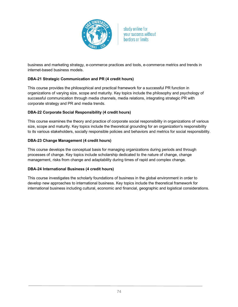

business and marketing strategy, e-commerce practices and tools, e-commerce metrics and trends in internet-based business models.

## **DBA-21 Strategic Communication and PR (4 credit hours)**

This course provides the philosophical and practical framework for a successful PR function in organizations of varying size, scope and maturity. Key topics include the philosophy and psychology of successful communication through media channels, media relations, integrating strategic PR with corporate strategy and PR and media trends.

## **DBA-22 Corporate Social Responsibility (4 credit hours)**

This course examines the theory and practice of corporate social responsibility in organizations of various size, scope and maturity. Key topics include the theoretical grounding for an organization's responsibility to its various stakeholders, socially responsible policies and behaviors and metrics for social responsibility.

## **DBA-23 Change Management (4 credit hours)**

This course develops the conceptual basis for managing organizations during periods and through processes of change. Key topics include scholarship dedicated to the nature of change, change management, risks from change and adaptability during times of rapid and complex change.

## **DBA-24 International Business (4 credit hours)**

This course investigates the scholarly foundations of business in the global environment in order to develop new approaches to international business. Key topics include the theoretical framework for international business including cultural, economic and financial, geographic and logistical considerations.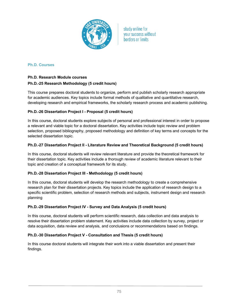

## **Ph.D. Courses**

## **Ph.D. Research Module courses**

## **Ph.D.-25 Research Methodology (5 credit hours)**

This course prepares doctoral students to organize, perform and publish scholarly research appropriate for academic audiences. Key topics include formal methods of qualitative and quantitative research, developing research and empirical frameworks, the scholarly research process and academic publishing.

## **Ph.D.-26 Dissertation Project I - Proposal (5 credit hours)**

In this course, doctoral students explore subjects of personal and professional interest in order to propose a relevant and viable topic for a doctoral dissertation. Key activities include topic review and problem selection, proposed bibliography, proposed methodology and definition of key terms and concepts for the selected dissertation topic.

## **Ph.D.-27 Dissertation Project II - Literature Review and Theoretical Background (5 credit hours)**

In this course, doctoral students will review relevant literature and provide the theoretical framework for their dissertation topic. Key activities include a thorough review of academic literature relevant to their topic and creation of a conceptual framework for its study.

## **Ph.D.-28 Dissertation Project III - Methodology (5 credit hours)**

In this course, doctoral students will develop the research methodology to create a comprehensive research plan for their dissertation projects. Key topics include the application of research design to a specific scientific problem, selection of research methods and subjects, instrument design and research planning

## **Ph.D.-29 Dissertation Project IV - Survey and Data Analysis (5 credit hours)**

In this course, doctoral students will perform scientific research, data collection and data analysis to resolve their dissertation problem statement. Key activities include data collection by survey, project or data acquisition, data review and analysis, and conclusions or recommendations based on findings.

## **Ph.D.-30 Dissertation Project V - Consultation and Thesis (5 credit hours)**

In this course doctoral students will integrate their work into a viable dissertation and present their findings.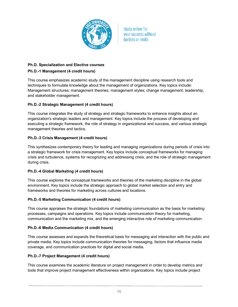

# **Ph.D. Specialization and Elective courses Ph.D.-1 Management (4 credit hours)**

This course emphasizes academic study of the management discipline using research tools and techniques to formulate knowledge about the management of organizations. Key topics include: Management structures; management theories; management styles; change management; leadership; and stakeholder management.

# **Ph.D.-2 Strategic Management (4 credit hours)**

This course integrates the study of strategy and strategic frameworks to enhance insights about an organization's strategic leaders and management. Key topics include the process of developing and executing a strategic framework, the role of strategy in organizational and success, and various strategic management theories and tactics.

# **Ph.D.-3 Crisis Management (4 credit hours)**

This synthesizes contemporary theory for leading and managing organizations during periods of crisis into a strategic framework for crisis management. Key topics include conceptual frameworks for managing crisis and turbulence, systems for recognizing and addressing crisis, and the role of strategic management during crisis.

## **Ph.D.-4 Global Marketing (4 credit hours)**

This course explores the conceptual frameworks and theories of the marketing discipline in the global environment. Key topics include the strategic approach to global market selection and entry and frameworks and theories for marketing across cultures and locations.

## **Ph.D.-5 Marketing Communication (4 credit hours)**

This course appraises the strategic foundations of marketing communication as the basis for marketing processes, campaigns and operations. Key topics include communication theory for marketing, communication and the marketing mix, and the emerging interactive role of marketing communication.

## **Ph.D.-6 Media Communication (4 credit hours)**

This course assesses and expands the theoretical basis for messaging and interaction with the public and private media. Key topics include communication theories for messaging, factors that influence media coverage, and communication practices for digital and social media.

## **Ph.D.-7 Project Management (4 credit hours)**

This course examines the academic literature on project management in order to develop metrics and tools that improve project management effectiveness within organizations. Key topics include project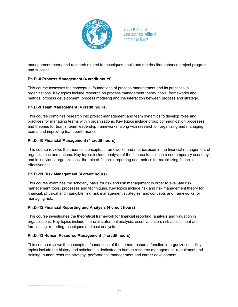

management theory and research related to techniques, tools and metrics that enhance project progress and success.

## **Ph.D.-8 Process Management (4 credit hours)**

This course assesses the conceptual foundations of process management and its practices in organizations. Key topics include research on process management theory, tools, frameworks and metrics, process development, process modeling and the interaction between process and strategy.

## **Ph.D.-9 Team Management (4 credit hours)**

This course combines research into project management and team dynamics to develop roles and practices for managing teams within organizations. Key topics include group communication processes and theories for teams, team leadership frameworks, along with research on organizing and managing teams and improving team performance.

## **Ph.D.-10 Financial Management (4 credit hours)**

This course reviews the theories, conceptual frameworks and metrics used in the financial management of organizations and nations. Key topics include analysis of the finance function in a contemporary economy and in individual organizations, the role of financial reporting and metrics for maximizing financial effectiveness.

## **Ph.D.-11 Risk Management (4 credit hours)**

This course examines the scholarly basis for risk and risk management in order to evaluate risk management tools, processes and techniques. Key topics include risk and risk management theory for financial, physical and intangible risk, risk management strategies, and concepts and frameworks for managing risk.

## **Ph.D.-12 Financial Reporting and Analysis (4 credit hours)**

This course investigates the theoretical framework for financial reporting, analysis and valuation in organizations. Key topics include financial statement analysis, asset valuation, risk assessment and forecasting, reporting techniques and cost analysis.

## **Ph.D.-13 Human Resource Management (4 credit hours)**

This course reviews the conceptual foundations of the human resource function in organizations. Key topics include the history and scholarship dedicated to human resource management, recruitment and training, human resource strategy, performance management and career development.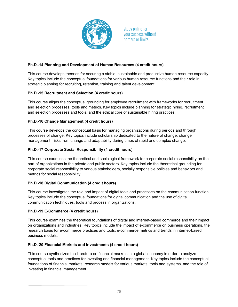

## **Ph.D.-14 Planning and Development of Human Resources (4 credit hours)**

This course develops theories for securing a stable, sustainable and productive human resource capacity. Key topics include the conceptual foundations for various human resource functions and their role in strategic planning for recruiting, retention, training and talent development.

## **Ph.D.-15 Recruitment and Selection (4 credit hours)**

This course aligns the conceptual grounding for employee recruitment with frameworks for recruitment and selection processes, tools and metrics. Key topics include planning for strategic hiring, recruitment and selection processes and tools, and the ethical core of sustainable hiring practices.

## **Ph.D.-16 Change Management (4 credit hours)**

This course develops the conceptual basis for managing organizations during periods and through processes of change. Key topics include scholarship dedicated to the nature of change, change management, risks from change and adaptability during times of rapid and complex change.

## **Ph.D.-17 Corporate Social Responsibility (4 credit hours)**

This course examines the theoretical and sociological framework for corporate social responsibility on the part of organizations in the private and public sectors. Key topics include the theoretical grounding for corporate social responsibility to various stakeholders, socially responsible policies and behaviors and metrics for social responsibility.

## **Ph.D.-18 Digital Communication (4 credit hours)**

This course investigates the role and impact of digital tools and processes on the communication function. Key topics include the conceptual foundations for digital communication and the use of digital communication techniques, tools and process in organizations.

## **Ph.D.-19 E-Commerce (4 credit hours)**

This course examines the theoretical foundations of digital and internet-based commerce and their impact on organizations and industries. Key topics include the impact of e-commerce on business operations, the research basis for e-commerce practices and tools, e-commerce metrics and trends in internet-based business models.

## **Ph.D.-20 Financial Markets and Investments (4 credit hours)**

This course synthesizes the literature on financial markets in a global economy in order to analyze conceptual tools and practices for investing and financial management. Key topics include the conceptual foundations of financial markets, research models for various markets, tools and systems, and the role of investing in financial management.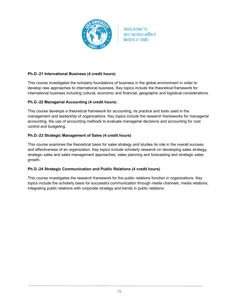

## **Ph.D.-21 International Business (4 credit hours)**

This course investigates the scholarly foundations of business in the global environment in order to develop new approaches to international business. Key topics include the theoretical framework for international business including cultural, economic and financial, geographic and logistical considerations.

## **Ph.D.-22 Managerial Accounting (4 credit hours)**

This course develops a theoretical framework for accounting, its practice and tools used in the management and leadership of organizations. Key topics include the research frameworks for managerial accounting, the use of accounting methods to evaluate managerial decisions and accounting for cost control and budgeting.

## **Ph.D.-23 Strategic Management of Sales (4 credit hours)**

This course examines the theoretical basis for sales strategy and studies its role in the overall success and effectiveness of an organization. Key topics include scholarly research on developing sales strategy, strategic sales and sales management approaches, sales planning and forecasting and strategic sales growth.

## **Ph.D.-24 Strategic Communication and Public Relations (4 credit hours)**

This course investigates the research framework for the public relations function in organizations. Key topics include the scholarly basis for successful communication through media channels, media relations, integrating public relations with corporate strategy and trends in public relations.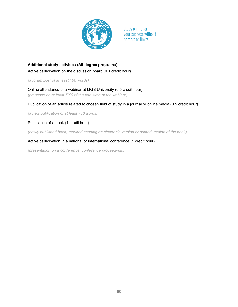

# **Additional study activities (All degree programs)** Active participation on the discussion board (0.1 credit hour)

*(a forum post of at least 100 words)*

Online attendance of a webinar at LIGS University (0.5 credit hour) *(presence on at least 70% of the total time of the webinar)*

## Publication of an article related to chosen field of study in a journal or online media (0.5 credit hour)

*(a new publication of at least 750 words)*

## Publication of a book (1 credit hour)

*(newly published book, required sending an electronic version or printed version of the book)*

## Active participation in a national or international conference (1 credit hour)

*(presentation on a conference, conference proceedings)*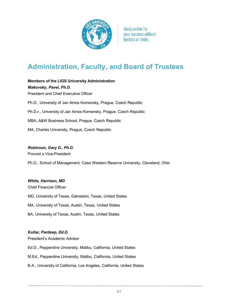

# **Administration, Faculty, and Board of Trustees**

**Members of the LIGS University Administration** *Makovsky, Pavel, Ph.D.* President and Chief Executive Officer Ph.D., University of Jan Amos Komensky, Prague, Czech Republic Ph.D.r., University of Jan Amos Komensky, Prague, Czech Republic MBA, A&W Business School, Prague, Czech Republic MA, Charles University, Prague, Czech Republic

## *Robinson, Gary D., Ph.D.*

Provost a Vice-President

Ph.D., School of Management, Case Western Reserve University, Cleveland, Ohio

#### *White, Harrison, MD*

Chief Financial Officer MD, University of Texas, Galveston, Texas, United States MA, University of Texas, Austin, Texas, United States BA, University of Texas, Austin, Texas, United States

## *Kullar, Pardeep, Ed.D.*

President's Academic Advisor

Ed.D., Pepperdine University, Malibu, California, United States

M.Ed., Pepperdine University, Malibu, California, United States

B.A., University of California, Los Angeles, California, United States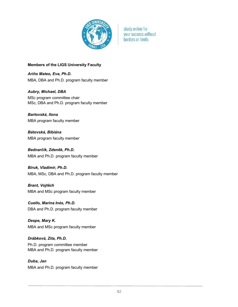

## **Members of the LIGS University Faculty**

*Ariño Mateo, Eva, Ph.D.* MBA, DBA and Ph.D. program faculty member

*Aubry, Michael, DBA* MSc program committee chair MSc, DBA and Ph.D. program faculty member

*Bartovská, Ilona* MBA program faculty member

*Bátovská, Bibiána* MBA program faculty member

*Bednarčík, Zdeněk, Ph.D.* MBA and Ph.D. program faculty member

*Biruk, Vladimir, Ph.D.* MBA, MSc, DBA and Ph.D. program faculty member

*Brant, Vojtěch* MBA and MSc program faculty member

*Cuello, Marina Inés, Ph.D.* DBA and Ph.D. program faculty member

*Despe, Mary K.* MBA and MSc program faculty member

*Drábková, Zita, Ph.D.* Ph.D. program committee member MBA and Ph.D. program faculty member

*Duba, Jan* MBA and Ph.D. program faculty member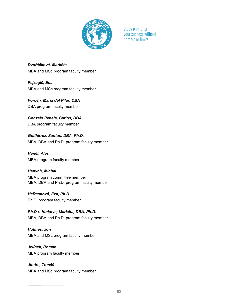

*Dvořáčková, Markéta* MBA and MSc program faculty member

*Fejzagič, Ena* MBA and MSc program faculty member

*Forcén, María del Pilar, DBA* DBA program faculty member

*Gonzalo Penela, Carlos, DBA* DBA program faculty member

*Guitiérrez, Santos, DBA, Ph.D.* MBA, DBA and Ph.D. program faculty member

*Háněl, Aleš* MBA program faculty member

*Henych, Michal* MBA program committee member MBA, DBA and Ph.D. program faculty member

*Heřmanová, Eva, Ph.D.* Ph.D. program faculty member

*Ph.D.r. Hinková, Markéta, DBA, Ph.D.* MBA, DBA and Ph.D. program faculty member

*Holmes, Jon* MBA and MSc program faculty member

*Jelínek, Roman* MBA program faculty member

*Jindra, Tomáš* MBA and MSc program faculty member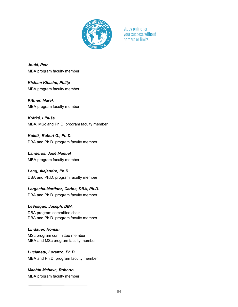

*Joukl, Petr* MBA program faculty member

*Kisham Kitasho, Philip* MBA program faculty member

*Kittner, Marek* MBA program faculty member

*Krátká, Libuše* MBA, MSc and Ph.D. program faculty member

*Kuklik, Robert G., Ph.D.* DBA and Ph.D. program faculty member

*Landeros, José Manuel* MBA program faculty member

*Lang, Alejandro, Ph.D.* DBA and Ph.D. program faculty member

*Largacha-Martinez, Carlos, DBA, Ph.D.* DBA and Ph.D. program faculty member

*LeVesque, Joseph, DBA* DBA program committee chair DBA and Ph.D. program faculty member

*Lindauer, Roman* MSc program committee member MBA and MSc program faculty member

*Lucianetti, Lorenzo, Ph.D.* MBA and Ph.D. program faculty member

*Machín Mahave, Roberto* MBA program faculty member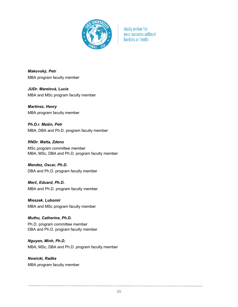

*Makovský, Petr* MBA program faculty member

*JUDr. Marelová, Lucie* MBA and MSc program faculty member

*Martínez, Henry* MBA program faculty member

*Ph.D.r. Mašín, Petr* MBA, DBA and Ph.D. program faculty member

*RNDr. Matta, Zdeno* MSc program committee member MBA, MSc, DBA and Ph.D. program faculty member

*Mendez, Oscar, Ph.D.* DBA and Ph.D. program faculty member

*Merč, Eduard, Ph.D.* MBA and Ph.D. program faculty member

*Mieszek, Lubomír* MBA and MSc program faculty member

*Muthu, Catherine, Ph.D.* Ph.D. program committee member DBA and Ph.D. program faculty member

*Nguyen, Minh, Ph.D.* MBA, MSc, DBA and Ph.D. program faculty member

*Nowicki, Radka* MBA program faculty member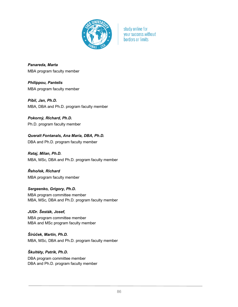

*Panareda, Marta* MBA program faculty member

*Philippou, Pantelis* MBA program faculty member

*Píbil, Jan, Ph.D.* MBA, DBA and Ph.D. program faculty member

*Pokorný, Richard, Ph.D.* Ph.D. program faculty member

*Queralt Fontanals, Ana María, DBA, Ph.D.*

DBA and Ph.D. program faculty member

*Rataj, Milan, Ph.D.* MBA, MSc, DBA and Ph.D. program faculty member

*Řehořek, Richard* MBA program faculty member

*Sergeenko, Grigory, Ph.D.* MBA program committee member MBA, MSc, DBA and Ph.D. program faculty member

*JUDr. Šesták, Josef,* MBA program committee member MBA and MSc program faculty member

*Širůček, Martin, Ph.D.* MBA, MSc, DBA and Ph.D. program faculty member

*Škultéty, Patrik, Ph.D.* DBA program committee member DBA and Ph.D. program faculty member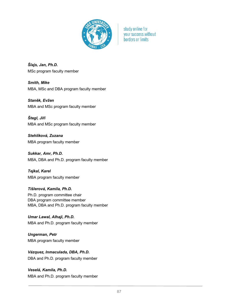

*Šlajs, Jan, Ph.D.* MSc program faculty member

*Smith, Mike* MBA, MSc and DBA program faculty member

*Staněk, Evžen* MBA and MSc program faculty member

*Štegl, Jiří* MBA and MSc program faculty member

*Stehlíková, Zuzana* MBA program faculty member

*Sukkar, Amr, Ph.D.* MBA, DBA and Ph.D. program faculty member

*Tejkal, Karel* MBA program faculty member

*Tišlerová, Kamila, Ph.D.* Ph.D. program committee chair DBA program committee member MBA, DBA and Ph.D. program faculty member

*Umar Lawal, Alhaji, Ph.D.* MBA and Ph.D. program faculty member

*Ungerman, Petr* MBA program faculty member

*Vázquez, Inmaculada, DBA, Ph.D.* DBA and Ph.D. program faculty member

*Veselá, Kamila, Ph.D.* MBA and Ph.D. program faculty member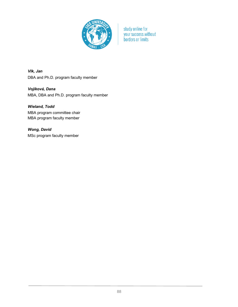

*Vlk, Jan* DBA and Ph.D. program faculty member

*Vojíková, Dana* MBA, DBA and Ph.D. program faculty member

# *Wieland, Todd*

MBA program committee chair MBA program faculty member

*Wong, David*

MSc program faculty member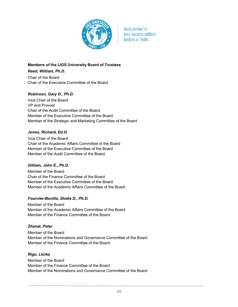

## **Members of the LIGS University Board of Trustees**

*Reed, William, Ph.D.* Chair of the Board Chair of the Executive Committee of the Board

## *Robinson, Gary D., Ph.D.*

Vice Chair of the Board VP and Provost Chair of the Audit Committee of the Board Member of the Executive Committee of the Board Member of the Strategic and Marketing Committee of the Board

## *Jones, Richard, Ed.D.*

Vice Chair of the Board Chair of the Academic Affairs Committee of the Board Member of the Executive Committee of the Board Member of the Audit Committee of the Board

## *Gilliam, John E., Ph.D.*

Member of the Board Chair of the Finance Committee of the Board Member of the Executive Committee of the Board Member of the Academic Affairs Committee of the Board

## *Fournier-Bonilla, Sheila D., Ph.D.*

Member of the Board Member of the Academic Affairs Committee of the Board Member of the Finance Committee of the Board

## *Zhanal, Peter*

Member of the Board Member of the Nominations and Governance Committee of the Board Member of the Finance Committee of the Board

## *Rigo, Lenka*

Member of the Board Member of the Finance Committee of the Board Member of the Nominations and Governance Committee of the Board